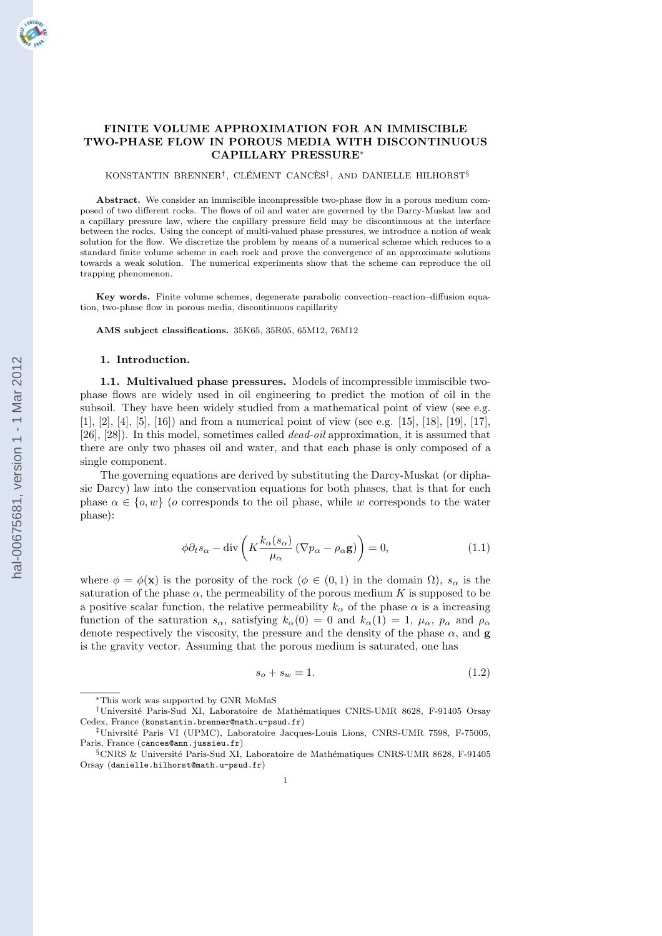# FINITE VOLUME APPROXIMATION FOR AN IMMISCIBLE TWO-PHASE FLOW IN POROUS MEDIA WITH DISCONTINUOUS CAPILLARY PRESSURE<sup>∗</sup>

KONSTANTIN BRENNER<sup>†</sup>, CLÉMENT CANCÈS<sup>‡</sup>, AND DANIELLE HILHORST<sup>§</sup>

Abstract. We consider an immiscible incompressible two-phase flow in a porous medium composed of two different rocks. The flows of oil and water are governed by the Darcy-Muskat law and a capillary pressure law, where the capillary pressure field may be discontinuous at the interface between the rocks. Using the concept of multi-valued phase pressures, we introduce a notion of weak solution for the flow. We discretize the problem by means of a numerical scheme which reduces to a standard finite volume scheme in each rock and prove the convergence of an approximate solutions towards a weak solution. The numerical experiments show that the scheme can reproduce the oil trapping phenomenon.

Key words. Finite volume schemes, degenerate parabolic convection–reaction–diffusion equation, two-phase flow in porous media, discontinuous capillarity

AMS subject classifications. 35K65, 35R05, 65M12, 76M12

#### 1. Introduction.

1.1. Multivalued phase pressures. Models of incompressible immiscible twophase flows are widely used in oil engineering to predict the motion of oil in the subsoil. They have been widely studied from a mathematical point of view (see e.g. [1], [2], [4], [5], [16]) and from a numerical point of view (see e.g. [15], [18], [19], [17], [26], [28]). In this model, sometimes called dead-oil approximation, it is assumed that there are only two phases oil and water, and that each phase is only composed of a single component.

The governing equations are derived by substituting the Darcy-Muskat (or diphasic Darcy) law into the conservation equations for both phases, that is that for each phase  $\alpha \in \{o, w\}$  (o corresponds to the oil phase, while w corresponds to the water phase):

$$
\phi \partial_t s_\alpha - \text{div}\left(K \frac{k_\alpha(s_\alpha)}{\mu_\alpha} \left(\nabla p_\alpha - \rho_\alpha \mathbf{g}\right)\right) = 0, \tag{1.1}
$$

where  $\phi = \phi(\mathbf{x})$  is the porosity of the rock  $(\phi \in (0,1)$  in the domain  $\Omega$ ),  $s_{\alpha}$  is the saturation of the phase  $\alpha$ , the permeability of the porous medium K is supposed to be a positive scalar function, the relative permeability  $k_{\alpha}$  of the phase  $\alpha$  is a increasing function of the saturation  $s_{\alpha}$ , satisfying  $k_{\alpha}(0) = 0$  and  $k_{\alpha}(1) = 1$ ,  $\mu_{\alpha}$ ,  $p_{\alpha}$  and  $\rho_{\alpha}$ denote respectively the viscosity, the pressure and the density of the phase  $\alpha$ , and g is the gravity vector. Assuming that the porous medium is saturated, one has

$$
s_o + s_w = 1.\t\t(1.2)
$$

<sup>∗</sup>This work was supported by GNR MoMaS

<sup>†</sup>Universit´e Paris-Sud XI, Laboratoire de Math´ematiques CNRS-UMR 8628, F-91405 Orsay Cedex, France (konstantin.brenner@math.u-psud.fr)

<sup>‡</sup>Univrsit´e Paris VI (UPMC), Laboratoire Jacques-Louis Lions, CNRS-UMR 7598, F-75005, Paris, France (cances@ann.jussieu.fr)

<sup>§</sup>CNRS & Université Paris-Sud XI, Laboratoire de Mathématiques CNRS-UMR 8628, F-91405 Orsay (danielle.hilhorst@math.u-psud.fr)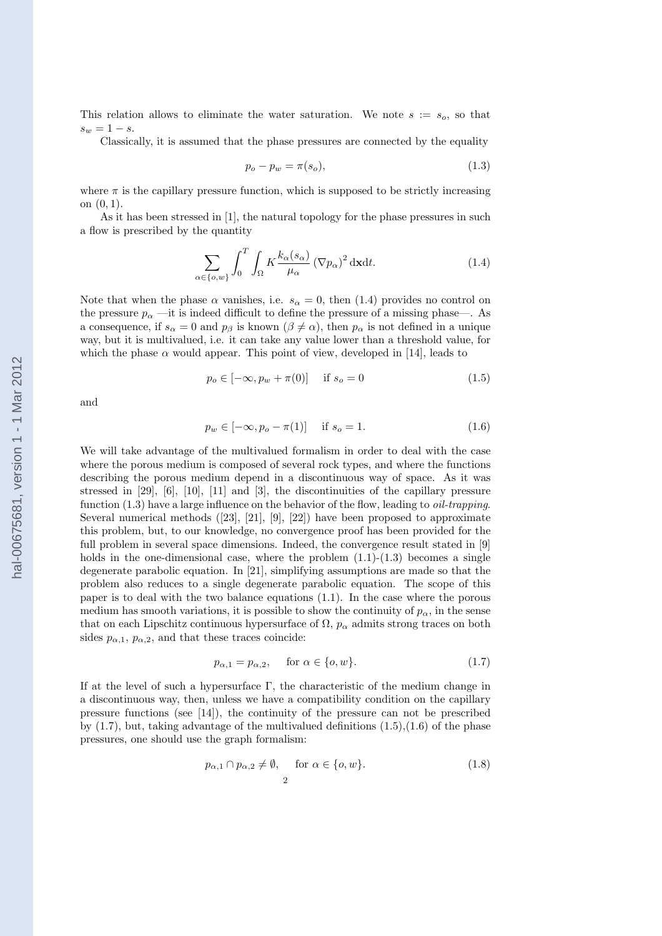This relation allows to eliminate the water saturation. We note  $s := s_o$ , so that  $s_w = 1 - s.$ 

Classically, it is assumed that the phase pressures are connected by the equality

$$
p_o - p_w = \pi(s_o),\tag{1.3}
$$

where  $\pi$  is the capillary pressure function, which is supposed to be strictly increasing on (0, 1).

As it has been stressed in [1], the natural topology for the phase pressures in such a flow is prescribed by the quantity

$$
\sum_{\alpha \in \{\sigma, w\}} \int_0^T \int_{\Omega} K \frac{k_{\alpha}(s_{\alpha})}{\mu_{\alpha}} (\nabla p_{\alpha})^2 \, \mathrm{d} \mathbf{x} \mathrm{d} t. \tag{1.4}
$$

Note that when the phase  $\alpha$  vanishes, i.e.  $s_{\alpha} = 0$ , then (1.4) provides no control on the pressure  $p_{\alpha}$  —it is indeed difficult to define the pressure of a missing phase—. As a consequence, if  $s_{\alpha} = 0$  and  $p_{\beta}$  is known  $(\beta \neq \alpha)$ , then  $p_{\alpha}$  is not defined in a unique way, but it is multivalued, i.e. it can take any value lower than a threshold value, for which the phase  $\alpha$  would appear. This point of view, developed in [14], leads to

$$
p_o \in [-\infty, p_w + \pi(0)] \quad \text{if } s_o = 0 \tag{1.5}
$$

and

$$
p_w \in [-\infty, p_o - \pi(1)] \quad \text{if } s_o = 1. \tag{1.6}
$$

We will take advantage of the multivalued formalism in order to deal with the case where the porous medium is composed of several rock types, and where the functions describing the porous medium depend in a discontinuous way of space. As it was stressed in [29], [6], [10], [11] and [3], the discontinuities of the capillary pressure function  $(1.3)$  have a large influence on the behavior of the flow, leading to *oil-trapping*. Several numerical methods ([23], [21], [9], [22]) have been proposed to approximate this problem, but, to our knowledge, no convergence proof has been provided for the full problem in several space dimensions. Indeed, the convergence result stated in [9] holds in the one-dimensional case, where the problem  $(1.1)-(1.3)$  becomes a single degenerate parabolic equation. In [21], simplifying assumptions are made so that the problem also reduces to a single degenerate parabolic equation. The scope of this paper is to deal with the two balance equations (1.1). In the case where the porous medium has smooth variations, it is possible to show the continuity of  $p_{\alpha}$ , in the sense that on each Lipschitz continuous hypersurface of  $\Omega$ ,  $p_{\alpha}$  admits strong traces on both sides  $p_{\alpha,1}, p_{\alpha,2}$ , and that these traces coincide:

$$
p_{\alpha,1} = p_{\alpha,2}, \quad \text{for } \alpha \in \{o, w\}. \tag{1.7}
$$

If at the level of such a hypersurface  $\Gamma$ , the characteristic of the medium change in a discontinuous way, then, unless we have a compatibility condition on the capillary pressure functions (see [14]), the continuity of the pressure can not be prescribed by  $(1.7)$ , but, taking advantage of the multivalued definitions  $(1.5)$ , $(1.6)$  of the phase pressures, one should use the graph formalism:

$$
p_{\alpha,1} \cap p_{\alpha,2} \neq \emptyset, \quad \text{for } \alpha \in \{o,w\}. \tag{1.8}
$$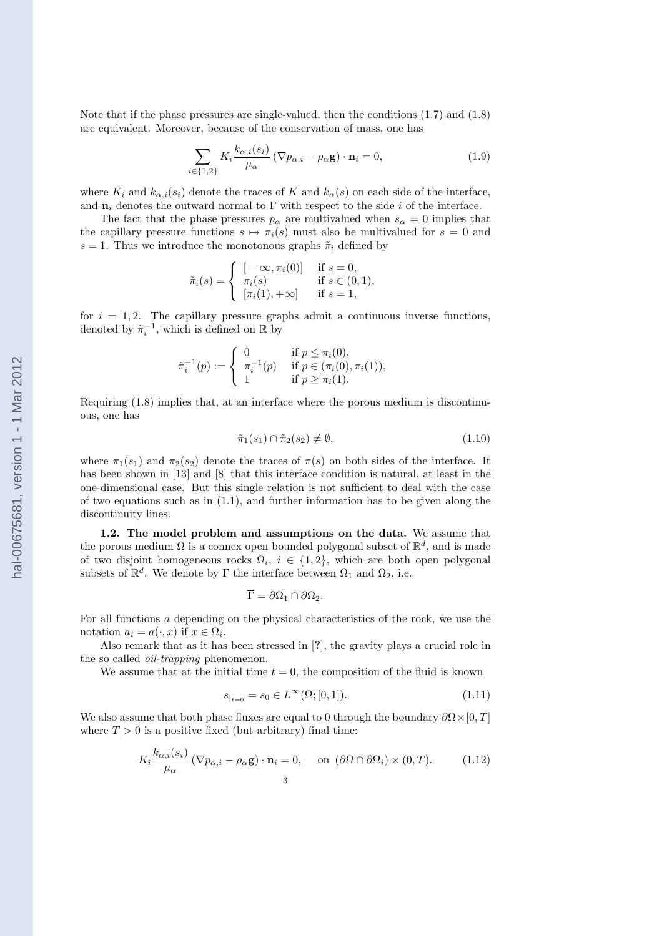Note that if the phase pressures are single-valued, then the conditions (1.7) and (1.8) are equivalent. Moreover, because of the conservation of mass, one has

$$
\sum_{i \in \{1,2\}} K_i \frac{k_{\alpha,i}(s_i)}{\mu_\alpha} \left( \nabla p_{\alpha,i} - \rho_\alpha \mathbf{g} \right) \cdot \mathbf{n}_i = 0, \tag{1.9}
$$

where  $K_i$  and  $k_{\alpha,i}(s_i)$  denote the traces of K and  $k_{\alpha}(s)$  on each side of the interface, and  $n_i$  denotes the outward normal to Γ with respect to the side i of the interface.

The fact that the phase pressures  $p_{\alpha}$  are multivalued when  $s_{\alpha} = 0$  implies that the capillary pressure functions  $s \mapsto \pi_i(s)$  must also be multivalued for  $s = 0$  and s = 1. Thus we introduce the monotonous graphs  $\tilde{\pi}_i$  defined by

$$
\tilde{\pi}_i(s) = \begin{cases}\n[-\infty, \pi_i(0)] & \text{if } s = 0, \\
\pi_i(s) & \text{if } s \in (0, 1), \\
[\pi_i(1), +\infty] & \text{if } s = 1,\n\end{cases}
$$

for  $i = 1, 2$ . The capillary pressure graphs admit a continuous inverse functions, denoted by  $\tilde{\pi}_i^{-1}$ , which is defined on  $\mathbb R$  by

$$
\tilde{\pi}_i^{-1}(p) := \begin{cases}\n0 & \text{if } p \leq \pi_i(0), \\
\pi_i^{-1}(p) & \text{if } p \in (\pi_i(0), \pi_i(1)), \\
1 & \text{if } p \geq \pi_i(1).\n\end{cases}
$$

Requiring (1.8) implies that, at an interface where the porous medium is discontinuous, one has

$$
\tilde{\pi}_1(s_1) \cap \tilde{\pi}_2(s_2) \neq \emptyset, \tag{1.10}
$$

where  $\pi_1(s_1)$  and  $\pi_2(s_2)$  denote the traces of  $\pi(s)$  on both sides of the interface. It has been shown in [13] and [8] that this interface condition is natural, at least in the one-dimensional case. But this single relation is not sufficient to deal with the case of two equations such as in  $(1.1)$ , and further information has to be given along the discontinuity lines.

1.2. The model problem and assumptions on the data. We assume that the porous medium  $\Omega$  is a connex open bounded polygonal subset of  $\mathbb{R}^d$ , and is made of two disjoint homogeneous rocks  $\Omega_i$ ,  $i \in \{1, 2\}$ , which are both open polygonal subsets of  $\mathbb{R}^d$ . We denote by  $\Gamma$  the interface between  $\Omega_1$  and  $\Omega_2$ , i.e.

$$
\overline{\Gamma} = \partial \Omega_1 \cap \partial \Omega_2.
$$

For all functions a depending on the physical characteristics of the rock, we use the notation  $a_i = a(\cdot, x)$  if  $x \in \Omega_i$ .

Also remark that as it has been stressed in [?], the gravity plays a crucial role in the so called oil-trapping phenomenon.

We assume that at the initial time  $t = 0$ , the composition of the fluid is known

$$
s_{|_{t=0}} = s_0 \in L^{\infty}(\Omega; [0, 1]).
$$
\n(1.11)

We also assume that both phase fluxes are equal to 0 through the boundary  $\partial\Omega\times[0,T]$ where  $T > 0$  is a positive fixed (but arbitrary) final time:

$$
K_i \frac{k_{\alpha,i}(s_i)}{\mu_\alpha} \left( \nabla p_{\alpha,i} - \rho_\alpha \mathbf{g} \right) \cdot \mathbf{n}_i = 0, \quad \text{on } (\partial \Omega \cap \partial \Omega_i) \times (0,T). \tag{1.12}
$$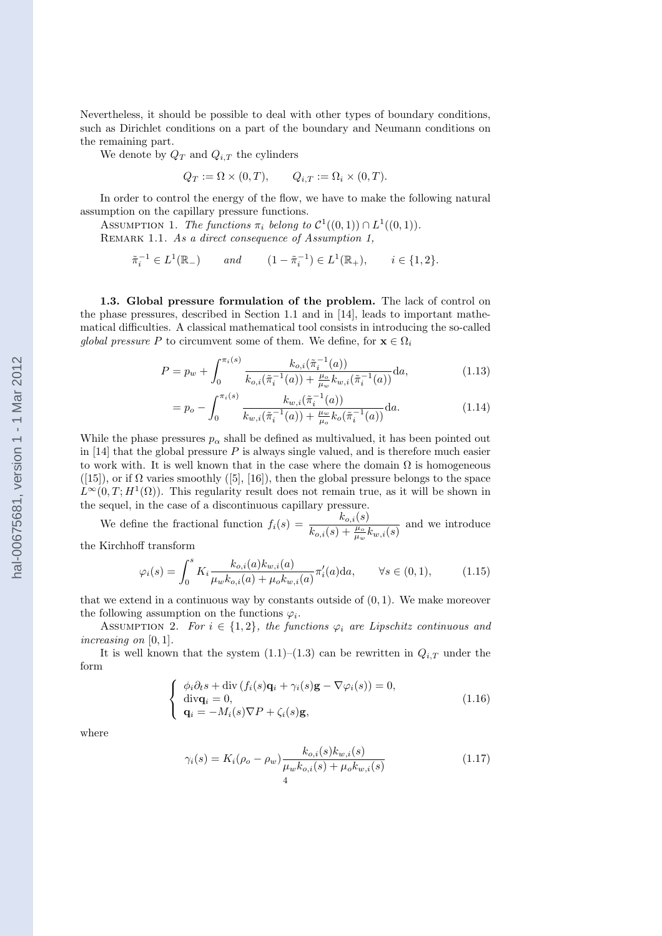Nevertheless, it should be possible to deal with other types of boundary conditions, such as Dirichlet conditions on a part of the boundary and Neumann conditions on the remaining part.

We denote by  $Q_T$  and  $Q_{i,T}$  the cylinders

$$
Q_T := \Omega \times (0, T), \qquad Q_{i,T} := \Omega_i \times (0, T).
$$

In order to control the energy of the flow, we have to make the following natural assumption on the capillary pressure functions.

ASSUMPTION 1. The functions  $\pi_i$  belong to  $\mathcal{C}^1((0,1)) \cap L^1((0,1))$ . REMARK 1.1. As a direct consequence of Assumption 1,

$$
\tilde{\pi}_i^{-1} \in L^1(\mathbb{R}_-)
$$
 and  $(1 - \tilde{\pi}_i^{-1}) \in L^1(\mathbb{R}_+), \quad i \in \{1, 2\}.$ 

1.3. Global pressure formulation of the problem. The lack of control on the phase pressures, described in Section 1.1 and in [14], leads to important mathematical difficulties. A classical mathematical tool consists in introducing the so-called global pressure P to circumvent some of them. We define, for  $\mathbf{x} \in \Omega_i$ 

$$
P = p_w + \int_0^{\pi_i(s)} \frac{k_{o,i}(\tilde{\pi}_i^{-1}(a))}{k_{o,i}(\tilde{\pi}_i^{-1}(a)) + \frac{\mu_o}{\mu_w} k_{w,i}(\tilde{\pi}_i^{-1}(a))} da,
$$
\n(1.13)

$$
= p_o - \int_0^{\pi_i(s)} \frac{k_{w,i}(\tilde{\pi}_i^{-1}(a))}{k_{w,i}(\tilde{\pi}_i^{-1}(a)) + \frac{\mu_w}{\mu_o}k_o(\tilde{\pi}_i^{-1}(a))} da.
$$
 (1.14)

While the phase pressures  $p_{\alpha}$  shall be defined as multivalued, it has been pointed out in  $[14]$  that the global pressure P is always single valued, and is therefore much easier to work with. It is well known that in the case where the domain  $\Omega$  is homogeneous ([15]), or if  $\Omega$  varies smoothly ([5], [16]), then the global pressure belongs to the space  $\tilde{L}^{\infty}(0,T;H^1(\Omega))$ . This regularity result does not remain true, as it will be shown in the sequel, in the case of a discontinuous capillary pressure.

We define the fractional function  $f_i(s) = \frac{k_{o,i}(s)}{k_{o,i}(s) + \frac{\mu_o}{\mu_w} k_{w,i}(s)}$  and we introduce

the Kirchhoff transform

$$
\varphi_i(s) = \int_0^s K_i \frac{k_{o,i}(a) k_{w,i}(a)}{\mu_w k_{o,i}(a) + \mu_o k_{w,i}(a)} \pi'_i(a) da, \qquad \forall s \in (0,1), \tag{1.15}
$$

that we extend in a continuous way by constants outside of  $(0, 1)$ . We make moreover the following assumption on the functions  $\varphi_i$ .

ASSUMPTION 2. For  $i \in \{1,2\}$ , the functions  $\varphi_i$  are Lipschitz continuous and increasing on [0, 1].

It is well known that the system  $(1.1)$ – $(1.3)$  can be rewritten in  $Q_{i,T}$  under the form

$$
\begin{cases}\n\phi_i \partial_t s + \text{div} (f_i(s) \mathbf{q}_i + \gamma_i(s) \mathbf{g} - \nabla \varphi_i(s)) = 0, \\
\text{div} \mathbf{q}_i = 0, \\
\mathbf{q}_i = -M_i(s) \nabla P + \zeta_i(s) \mathbf{g},\n\end{cases}
$$
\n(1.16)

where

$$
\gamma_i(s) = K_i(\rho_o - \rho_w) \frac{k_{o,i}(s)k_{w,i}(s)}{\mu_w k_{o,i}(s) + \mu_o k_{w,i}(s)}
$$
(1.17)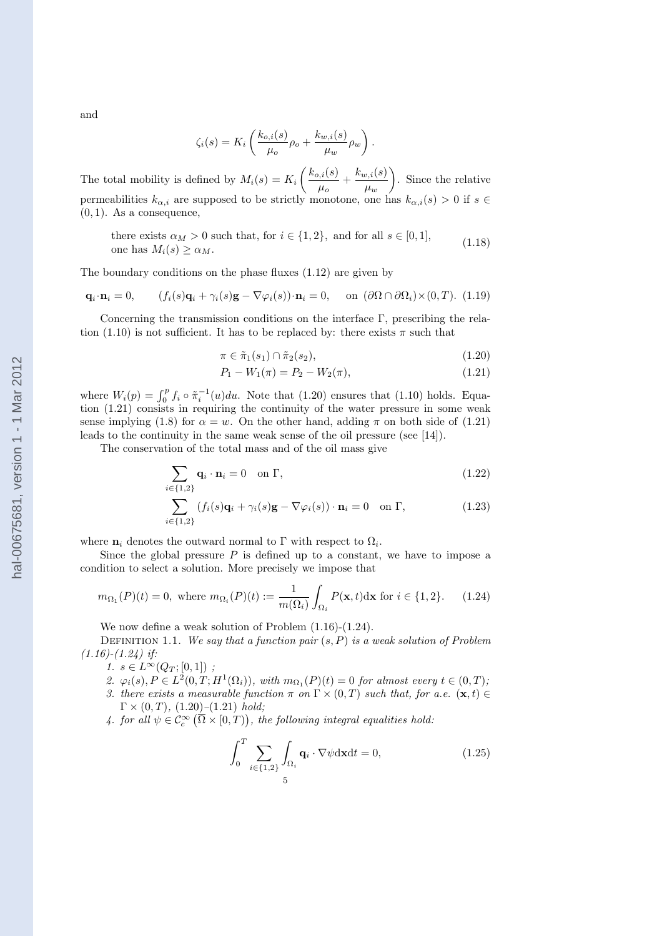and

$$
\zeta_i(s) = K_i \left( \frac{k_{o,i}(s)}{\mu_o} \rho_o + \frac{k_{w,i}(s)}{\mu_w} \rho_w \right).
$$

The total mobility is defined by  $M_i(s) = K_i$  $\int k_{o,i}(s)$  $\frac{h_{v,i}(s)}{\mu_o}+\frac{k_{w,i}(s)}{\mu_w}$  $\mu_w$  $\mathbf{r}$ . Since the relative permeabilities  $k_{\alpha,i}$  are supposed to be strictly monotone, one has  $k_{\alpha,i}(s) > 0$  if  $s \in$  $(0, 1)$ . As a consequence,

there exists  $\alpha_M > 0$  such that, for  $i \in \{1, 2\}$ , and for all  $s \in [0, 1]$ , one has  $M_i(s) \geq \alpha_M$ . (1.18)

The boundary conditions on the phase fluxes (1.12) are given by

$$
\mathbf{q}_i \cdot \mathbf{n}_i = 0, \qquad (f_i(s)\mathbf{q}_i + \gamma_i(s)\mathbf{g} - \nabla \varphi_i(s)) \cdot \mathbf{n}_i = 0, \qquad \text{on } (\partial \Omega \cap \partial \Omega_i) \times (0, T). \tag{1.19}
$$

Concerning the transmission conditions on the interface Γ, prescribing the relation (1.10) is not sufficient. It has to be replaced by: there exists  $\pi$  such that

$$
\pi \in \tilde{\pi}_1(s_1) \cap \tilde{\pi}_2(s_2),\tag{1.20}
$$

$$
P_1 - W_1(\pi) = P_2 - W_2(\pi),\tag{1.21}
$$

where  $W_i(p) = \int_0^p f_i \circ \tilde{\pi}_i^{-1}(u) du$ . Note that (1.20) ensures that (1.10) holds. Equation (1.21) consists in requiring the continuity of the water pressure in some weak sense implying (1.8) for  $\alpha = w$ . On the other hand, adding  $\pi$  on both side of (1.21) leads to the continuity in the same weak sense of the oil pressure (see [14]).

The conservation of the total mass and of the oil mass give

$$
\sum_{i \in \{1,2\}} \mathbf{q}_i \cdot \mathbf{n}_i = 0 \quad \text{on } \Gamma,
$$
\n(1.22)

$$
\sum_{i \in \{1,2\}} (f_i(s)\mathbf{q}_i + \gamma_i(s)\mathbf{g} - \nabla \varphi_i(s)) \cdot \mathbf{n}_i = 0 \quad \text{on } \Gamma,
$$
\n(1.23)

where  $n_i$  denotes the outward normal to  $\Gamma$  with respect to  $\Omega_i$ .

Since the global pressure  $P$  is defined up to a constant, we have to impose a condition to select a solution. More precisely we impose that

$$
m_{\Omega_1}(P)(t) = 0, \text{ where } m_{\Omega_i}(P)(t) := \frac{1}{m(\Omega_i)} \int_{\Omega_i} P(\mathbf{x}, t) d\mathbf{x} \text{ for } i \in \{1, 2\}. \tag{1.24}
$$

We now define a weak solution of Problem (1.16)-(1.24).

DEFINITION 1.1. We say that a function pair  $(s, P)$  is a weak solution of Problem  $(1.16)$ - $(1.24)$  if:

1.  $s \in L^{\infty}(Q_T;[0,1])$ ;

- 2.  $\varphi_i(s), P \in L^2(0,T;H^1(\Omega_i))$ , with  $m_{\Omega_1}(P)(t) = 0$  for almost every  $t \in (0,T)$ ;
- 3. there exists a measurable function  $\pi$  on  $\Gamma \times (0,T)$  such that, for a.e.  $(\mathbf{x},t) \in$  $\Gamma \times (0, T), (1.20)$  (1.21) hold;

4. for all  $\psi \in \mathcal{C}_c^\infty(\overline{\Omega} \times [0,T)),$  the following integral equalities hold:

$$
\int_0^T \sum_{i \in \{1,2\}} \int_{\Omega_i} \mathbf{q}_i \cdot \nabla \psi \, \mathrm{d} \mathbf{x} \, \mathrm{d} t = 0,\tag{1.25}
$$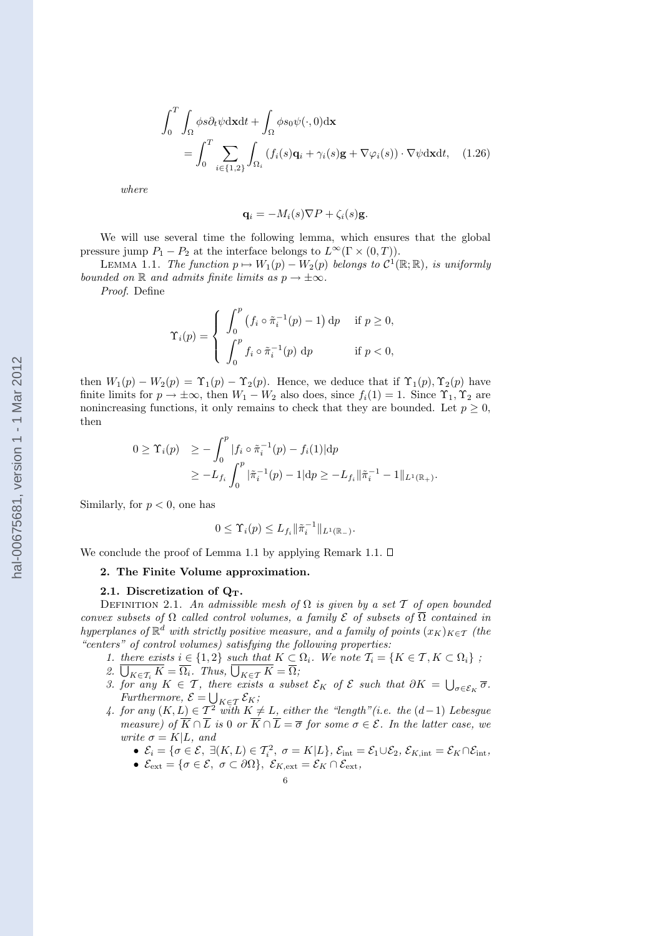$$
\int_0^T \int_{\Omega} \phi s \partial_t \psi \, \mathrm{d} \mathbf{x} \, \mathrm{d}t + \int_{\Omega} \phi s_0 \psi(\cdot, 0) \, \mathrm{d} \mathbf{x}
$$
\n
$$
= \int_0^T \sum_{i \in \{1, 2\}} \int_{\Omega_i} \left( f_i(s) \mathbf{q}_i + \gamma_i(s) \mathbf{g} + \nabla \varphi_i(s) \right) \cdot \nabla \psi \, \mathrm{d} \mathbf{x} \, \mathrm{d}t, \tag{1.26}
$$

where

$$
\mathbf{q}_i = -M_i(s)\nabla P + \zeta_i(s)\mathbf{g}.
$$

We will use several time the following lemma, which ensures that the global pressure jump  $P_1 - P_2$  at the interface belongs to  $L^{\infty}(\Gamma \times (0,T)).$ 

LEMMA 1.1. The function  $p \mapsto W_1(p) - W_2(p)$  belongs to  $\mathcal{C}^1(\mathbb{R}; \mathbb{R})$ , is uniformly bounded on R and admits finite limits as  $p \to \pm \infty$ .

Proof. Define

$$
\Upsilon_i(p) = \begin{cases} \n\int_0^p (f_i \circ \tilde{\pi}_i^{-1}(p) - 1) \, \mathrm{d}p & \text{if } p \ge 0, \\ \n\int_0^p f_i \circ \tilde{\pi}_i^{-1}(p) \, \mathrm{d}p & \text{if } p < 0, \n\end{cases}
$$

then  $W_1(p) - W_2(p) = \Upsilon_1(p) - \Upsilon_2(p)$ . Hence, we deduce that if  $\Upsilon_1(p), \Upsilon_2(p)$  have finite limits for  $p \to \pm \infty$ , then  $W_1 - W_2$  also does, since  $f_i(1) = 1$ . Since  $\Upsilon_1, \Upsilon_2$  are nonincreasing functions, it only remains to check that they are bounded. Let  $p \geq 0$ , then

$$
0 \geq \Upsilon_i(p) \geq -\int_0^p |f_i \circ \tilde{\pi}_i^{-1}(p) - f_i(1)| dp
$$
  
 
$$
\geq -L_{f_i} \int_0^p |\tilde{\pi}_i^{-1}(p) - 1| dp \geq -L_{f_i} ||\tilde{\pi}_i^{-1} - 1||_{L^1(\mathbb{R}_+)}.
$$

Similarly, for  $p < 0$ , one has

$$
0 \leq \Upsilon_i(p) \leq L_{f_i} \|\tilde{\pi}_i^{-1}\|_{L^1(\mathbb{R}_-)}.
$$

We conclude the proof of Lemma 1.1 by applying Remark 1.1.  $\square$ 

### 2. The Finite Volume approximation.

#### 2.1. Discretization of  $Q_T$ .

DEFINITION 2.1. An admissible mesh of  $\Omega$  is given by a set  $\mathcal T$  of open bounded convex subsets of  $\Omega$  called control volumes, a family  $\mathcal E$  of subsets of  $\overline{\Omega}$  contained in hyperplanes of  $\mathbb{R}^d$  with strictly positive measure, and a family of points  $(x_K)_{K\in\mathcal{T}}$  (the "centers" of control volumes) satisfying the following properties:

- 1. there exists  $i \in \{1,2\}$  such that  $K \subset \Omega_i$ . We note  $\mathcal{T}_i = \{K \in \mathcal{T}, K \subset \Omega_i\}$ ;
- 1. *Intere exists*  $i \in \{1, 2\}$  *such that*  $K \subseteq$ <br>2.  $\overline{\bigcup_{K \in \mathcal{T}_i} K} = \overline{\Omega_i}$ . *Thus*,  $\overline{\bigcup_{K \in \mathcal{T}} K} = \overline{\Omega_i}$ .
- 2.  $\bigcup_{K \in \mathcal{T}_i} K = \Omega_i$ . Thus,  $\bigcup_{K \in \mathcal{T}} K = \Omega_i$ ;<br>3. for any  $K \in \mathcal{T}$ , there exists a subset  $\mathcal{E}_K$  of  $\mathcal{E}$  such that  $\partial K = \bigcup$ there exists a subset  $\mathcal{E}_K$  of  $\mathcal E$  such that  $\partial K = \bigcup_{\sigma \in \mathcal{E}_K} \overline{\sigma}$ . Furthermore,  $\mathcal{E} = \bigcup_{K \in \mathcal{T}} \mathcal{E}_K$ ;
- 4. for any  $(K, L) \in \mathcal{T}^2$  with  $K \neq L$ , either the "length"(i.e. the  $(d-1)$  Lebesgue measure) of  $\overline{K} \cap \overline{L}$  is 0 or  $\overline{K} \cap \overline{L} = \overline{\sigma}$  for some  $\sigma \in \mathcal{E}$ . In the latter case, we write  $\sigma = K|L$ , and
	- $\mathcal{E}_i = \{ \sigma \in \mathcal{E}, \ \exists (K, L) \in \mathcal{T}_i^2, \ \sigma = K | L \}, \ \mathcal{E}_{\text{int}} = \mathcal{E}_1 \cup \mathcal{E}_2, \ \mathcal{E}_{K, \text{int}} = \mathcal{E}_K \cap \mathcal{E}_{\text{int}},$
	- $\mathcal{E}_{ext} = {\sigma \in \mathcal{E}, \ \sigma \subset \partial \Omega}, \ \mathcal{E}_{K,ext} = \mathcal{E}_K \cap \mathcal{E}_{ext},$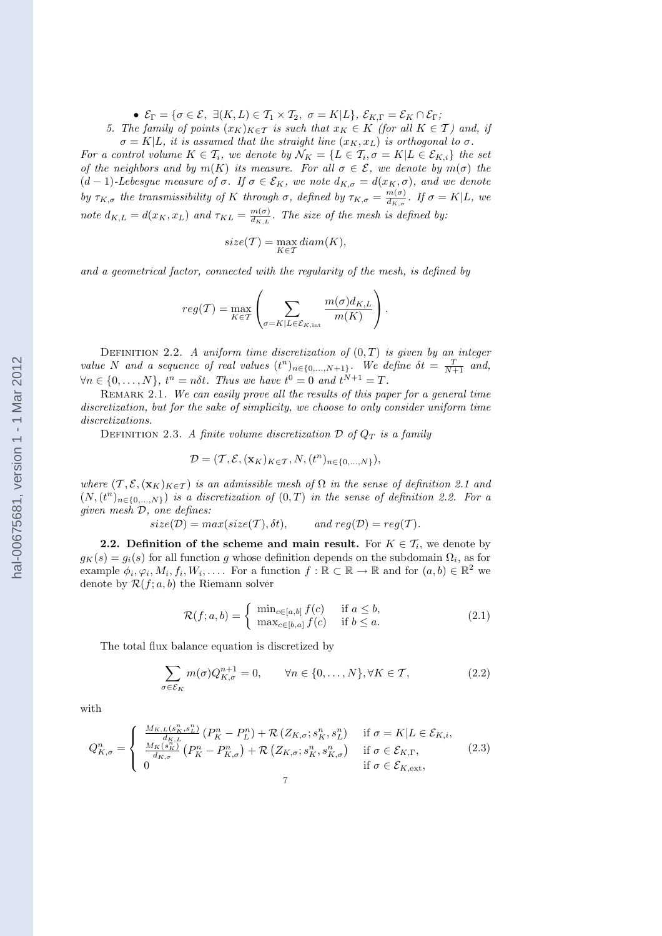•  $\mathcal{E}_{\Gamma} = \{ \sigma \in \mathcal{E}, \ \exists (K, L) \in \mathcal{T}_1 \times \mathcal{T}_2, \ \sigma = K | L \}, \ \mathcal{E}_{K, \Gamma} = \mathcal{E}_K \cap \mathcal{E}_{\Gamma};$ 

5. The family of points  $(x_K)_{K\in\mathcal{T}}$  is such that  $x_K \in K$  (for all  $K \in \mathcal{T}$ ) and, if  $\sigma = K|L$ , it is assumed that the straight line  $(x_K, x_L)$  is orthogonal to  $\sigma$ .

For a control volume  $K \in \mathcal{T}_i$ , we denote by  $\mathcal{N}_K = \{L \in \mathcal{T}_i, \sigma = K | L \in \mathcal{E}_{K,i}\}\$  the set of the neighbors and by  $m(K)$  its measure. For all  $\sigma \in \mathcal{E}$ , we denote by  $m(\sigma)$  the  $(d-1)$ -Lebesgue measure of  $\sigma$ . If  $\sigma \in \mathcal{E}_K$ , we note  $d_{K,\sigma} = d(x_K, \sigma)$ , and we denote by  $\tau_{K,\sigma}$  the transmissibility of K through  $\sigma$ , defined by  $\tau_{K,\sigma} = \frac{m(\sigma)}{dx}$ .  $\frac{m(\sigma)}{d_{K,\sigma}}$ . If  $\sigma = K|L$ , we note  $d_{K,L} = d(x_K, x_L)$  and  $\tau_{KL} = \frac{m(\sigma)}{dx_L}$  $\frac{m(\sigma)}{d_{K,L}}$ . The size of the mesh is defined by:

$$
size(\mathcal{T}) = \max_{K \in \mathcal{T}} diam(K),
$$

and a geometrical factor, connected with the regularity of the mesh, is defined by

$$
reg(\mathcal{T}) = \max_{K \in \mathcal{T}} \left( \sum_{\sigma = K \mid L \in \mathcal{E}_{K, \text{int}}} \frac{m(\sigma) d_{K, L}}{m(K)} \right).
$$

DEFINITION 2.2. A uniform time discretization of  $(0, T)$  is given by an integer value N and a sequence of real values  $(t^n)_{n \in \{0,\ldots,N+1\}}$ . We define  $\delta t = \frac{T}{N+1}$  and,  $\forall n \in \{0, \ldots, N\}, t^n = n\delta t$ . Thus we have  $t^0 = 0$  and  $t^{N+1} = T$ .

REMARK 2.1. We can easily prove all the results of this paper for a general time discretization, but for the sake of simplicity, we choose to only consider uniform time discretizations.

DEFINITION 2.3. A finite volume discretization  $\mathcal D$  of  $Q_T$  is a family

$$
\mathcal{D} = (\mathcal{T}, \mathcal{E}, (\mathbf{x}_K)_{K \in \mathcal{T}}, N, (t^n)_{n \in \{0, \dots, N\}}),
$$

where  $(\mathcal{T}, \mathcal{E}, (\mathbf{x}_K)_{K \in \mathcal{T}})$  is an admissible mesh of  $\Omega$  in the sense of definition 2.1 and  $(N,(t^n)_{n\in\{0,\ldots,N\}})$  is a discretization of  $(0,T)$  in the sense of definition 2.2. For a given mesh D, one defines:

$$
size(\mathcal{D}) = max(size(\mathcal{T}), \delta t), \qquad and \ reg(\mathcal{D}) = reg(\mathcal{T}).
$$

**2.2.** Definition of the scheme and main result. For  $K \in \mathcal{T}_i$ , we denote by  $g_K(s) = g_i(s)$  for all function g whose definition depends on the subdomain  $\Omega_i$ , as for example  $\phi_i, \varphi_i, M_i, f_i, W_i, \ldots$  For a function  $f : \mathbb{R} \subset \mathbb{R} \to \mathbb{R}$  and for  $(a, b) \in \mathbb{R}^2$  we denote by  $\mathcal{R}(f; a, b)$  the Riemann solver

$$
\mathcal{R}(f; a, b) = \begin{cases} \min_{c \in [a, b]} f(c) & \text{if } a \le b, \\ \max_{c \in [b, a]} f(c) & \text{if } b \le a. \end{cases}
$$
 (2.1)

The total flux balance equation is discretized by

$$
\sum_{\sigma \in \mathcal{E}_K} m(\sigma) Q_{K,\sigma}^{n+1} = 0, \qquad \forall n \in \{0, \dots, N\}, \forall K \in \mathcal{T},
$$
\n(2.2)

with

$$
Q_{K,\sigma}^{n} = \begin{cases} \frac{M_{K,L}(s_{K}^{n},s_{L}^{n})}{d_{K,L}}\left(P_{K}^{n}-P_{L}^{n}\right)+\mathcal{R}\left(Z_{K,\sigma};s_{K}^{n},s_{L}^{n}\right) & \text{if } \sigma = K|L \in \mathcal{E}_{K,i},\\ \frac{M_{K}(s_{K}^{n})}{d_{K,\sigma}}\left(P_{K}^{n}-P_{K,\sigma}^{n}\right)+\mathcal{R}\left(Z_{K,\sigma};s_{K}^{n},s_{K,\sigma}^{n}\right) & \text{if } \sigma \in \mathcal{E}_{K,\Gamma},\\ 0 & \text{if } \sigma \in \mathcal{E}_{K,\text{ext}}, \end{cases}
$$
(2.3)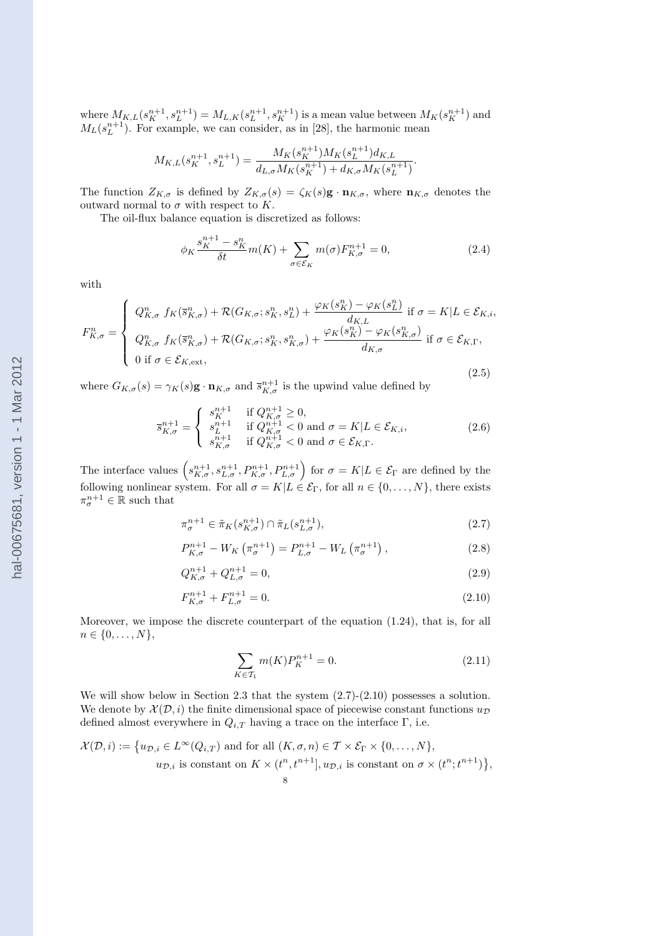where  $M_{K,L}(s_K^{n+1}, s_L^{n+1}) = M_{L,K}(s_L^{n+1}, s_K^{n+1})$  is a mean value between  $M_K(s_K^{n+1})$  and  $M_L(s_L^{n+1})$ . For example, we can consider, as in [28], the harmonic mean

$$
M_{K,L}(s_{K}^{n+1},s_{L}^{n+1})=\frac{M_{K}(s_{K}^{n+1})M_{K}(s_{L}^{n+1})d_{K,L}}{d_{L,\sigma}M_{K}(s_{K}^{n+1})+d_{K,\sigma}M_{K}(s_{L}^{n+1})}
$$

The function  $Z_{K,\sigma}$  is defined by  $Z_{K,\sigma}(s) = \zeta_K(s) \mathbf{g} \cdot \mathbf{n}_{K,\sigma}$ , where  $\mathbf{n}_{K,\sigma}$  denotes the outward normal to  $\sigma$  with respect to K.

The oil-flux balance equation is discretized as follows:

$$
\phi_K \frac{s_K^{n+1} - s_K^n}{\delta t} m(K) + \sum_{\sigma \in \mathcal{E}_K} m(\sigma) F_{K,\sigma}^{n+1} = 0,
$$
\n(2.4)

.

with

$$
F_{K,\sigma}^{n} = \begin{cases} Q_{K,\sigma}^{n} f_{K}(\bar{s}_{K,\sigma}^{n}) + \mathcal{R}(G_{K,\sigma};s_{K}^{n},s_{L}^{n}) + \frac{\varphi_{K}(s_{K}^{n}) - \varphi_{K}(s_{L}^{n})}{d_{K,L}} \text{ if } \sigma = K | L \in \mathcal{E}_{K,i}, \\ Q_{K,\sigma}^{n} f_{K}(\bar{s}_{K,\sigma}^{n}) + \mathcal{R}(G_{K,\sigma};s_{K}^{n},s_{K,\sigma}^{n}) + \frac{\varphi_{K}(s_{K}^{n}) - \varphi_{K}(s_{K,\sigma}^{n})}{d_{K,\sigma}} \text{ if } \sigma \in \mathcal{E}_{K,\Gamma}, \\ 0 \text{ if } \sigma \in \mathcal{E}_{K,\text{ext}}, \end{cases}
$$
(2.5)

where  $G_{K,\sigma}(s) = \gamma_K(s) \mathbf{g} \cdot \mathbf{n}_{K,\sigma}$  and  $\overline{s}_{K,\sigma}^{n+1}$  is the upwind value defined by

$$
\overline{s}_{K,\sigma}^{n+1} = \begin{cases}\n s_K^{n+1} & \text{if } Q_{K,\sigma}^{n+1} \ge 0, \\
 s_L^{n+1} & \text{if } Q_{K,\sigma}^{n+1} < 0 \text{ and } \sigma = K | L \in \mathcal{E}_{K,i}, \\
 s_{K,\sigma}^{n+1} & \text{if } Q_{K,\sigma}^{n+1} < 0 \text{ and } \sigma \in \mathcal{E}_{K,\Gamma}.\n\end{cases} \tag{2.6}
$$

The interface values  $\left(s_{K,\sigma}^{n+1}, s_{L,\sigma}^{n+1}, P_{K,\sigma}^{n+1}, P_{L,\sigma}^{n+1}\right)$  for  $\sigma = K | L \in \mathcal{E}_{\Gamma}$  are defined by the following nonlinear system. For all  $\sigma = K | L \in \mathcal{E}_{\Gamma}$ , for all  $n \in \{0, \ldots, N\}$ , there exists  $\pi_{\sigma}^{n+1} \in \mathbb{R}$  such that

$$
\pi_{\sigma}^{n+1} \in \tilde{\pi}_K(s_{K,\sigma}^{n+1}) \cap \tilde{\pi}_L(s_{L,\sigma}^{n+1}),\tag{2.7}
$$

$$
P_{K,\sigma}^{n+1} - W_K \left( \pi_{\sigma}^{n+1} \right) = P_{L,\sigma}^{n+1} - W_L \left( \pi_{\sigma}^{n+1} \right), \tag{2.8}
$$

$$
Q_{K,\sigma}^{n+1} + Q_{L,\sigma}^{n+1} = 0,\t\t(2.9)
$$

$$
F_{K,\sigma}^{n+1} + F_{L,\sigma}^{n+1} = 0.
$$
\n(2.10)

Moreover, we impose the discrete counterpart of the equation (1.24), that is, for all  $n \in \{0, \ldots, N\},\$ 

$$
\sum_{K \in \mathcal{T}_1} m(K) P_K^{n+1} = 0.
$$
\n(2.11)

We will show below in Section 2.3 that the system  $(2.7)-(2.10)$  possesses a solution. We denote by  $\mathcal{X}(D, i)$  the finite dimensional space of piecewise constant functions  $u_{\mathcal{D}}$ defined almost everywhere in  $Q_{i,T}$  having a trace on the interface  $\Gamma$ , i.e.

$$
\mathcal{X}(\mathcal{D},i) := \{ u_{\mathcal{D},i} \in L^{\infty}(Q_{i,T}) \text{ and for all } (K,\sigma,n) \in \mathcal{T} \times \mathcal{E}_{\Gamma} \times \{0,\ldots,N\},
$$
  

$$
u_{\mathcal{D},i} \text{ is constant on } K \times (t^n,t^{n+1}], u_{\mathcal{D},i} \text{ is constant on } \sigma \times (t^n,t^{n+1})\},
$$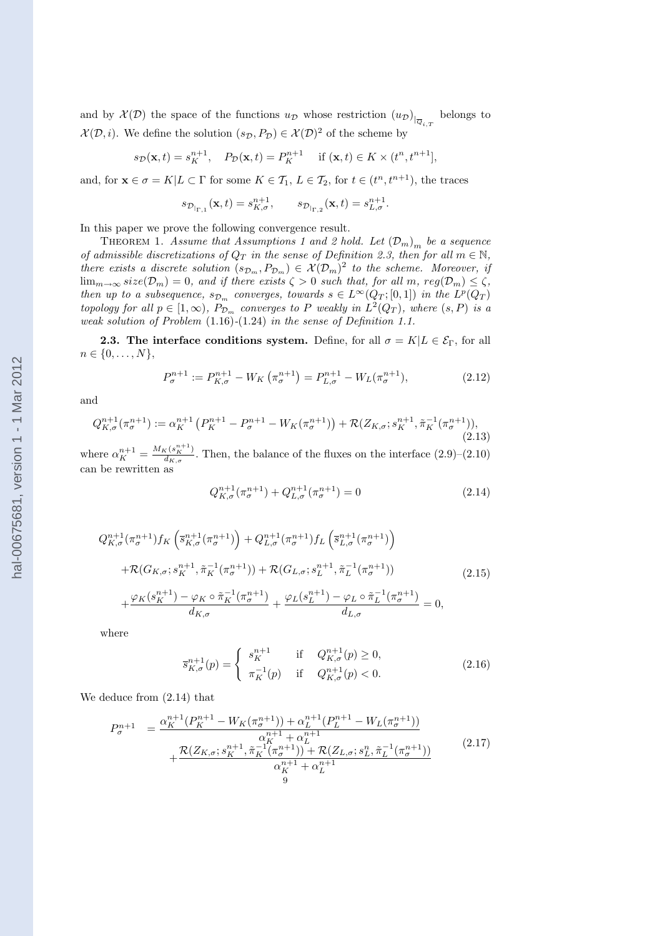and by  $\mathcal{X}(D)$  the space of the functions  $u_D$  whose restriction  $(u_D)_{\vert_{\overline{Q}_{i,T}}}$  belongs to  $\mathcal{X}(\mathcal{D}, i)$ . We define the solution  $(s_{\mathcal{D}}, P_{\mathcal{D}}) \in \mathcal{X}(\mathcal{D})^2$  of the scheme by

$$
s_{\mathcal{D}}(\mathbf{x},t) = s_K^{n+1}, \quad P_{\mathcal{D}}(\mathbf{x},t) = P_K^{n+1} \quad \text{if } (\mathbf{x},t) \in K \times (t^n, t^{n+1}],
$$

and, for  $\mathbf{x} \in \sigma = K | L \subset \Gamma$  for some  $K \in \mathcal{T}_1, L \in \mathcal{T}_2$ , for  $t \in (t^n, t^{n+1})$ , the traces

$$
s_{\mathcal{D}_{|\Gamma,1}}(\mathbf{x},t) = s_{K,\sigma}^{n+1}, \qquad s_{\mathcal{D}_{|\Gamma,2}}(\mathbf{x},t) = s_{L,\sigma}^{n+1}.
$$

In this paper we prove the following convergence result.

THEOREM 1. Assume that Assumptions 1 and 2 hold. Let  $(\mathcal{D}_m)_{m}$  be a sequence of admissible discretizations of  $Q_T$  in the sense of Definition 2.3, then for all  $m \in \mathbb{N}$ , there exists a discrete solution  $(s_{\mathcal{D}_m}, P_{\mathcal{D}_m}) \in \mathcal{X}(\mathcal{D}_m)^2$  to the scheme. Moreover, if  $\lim_{m\to\infty} size(\mathcal{D}_m) = 0$ , and if there exists  $\zeta > 0$  such that, for all  $m$ ,  $reg(\mathcal{D}_m) \leq \zeta$ , then up to a subsequence,  $s_{\mathcal{D}_m}$  converges, towards  $s \in L^{\infty}(Q_T;[0,1])$  in the  $L^p(Q_T)$ topology for all  $p \in [1,\infty)$ ,  $P_{\mathcal{D}_m}$  converges to P weakly in  $L^2(Q_T)$ , where  $(s, P)$  is a weak solution of Problem (1.16)-(1.24) in the sense of Definition 1.1.

**2.3. The interface conditions system.** Define, for all  $\sigma = K|L \in \mathcal{E}_{\Gamma}$ , for all  $n \in \{0, \ldots, N\},\$ 

$$
P_{\sigma}^{n+1} := P_{K,\sigma}^{n+1} - W_K \left( \pi_{\sigma}^{n+1} \right) = P_{L,\sigma}^{n+1} - W_L(\pi_{\sigma}^{n+1}), \tag{2.12}
$$

and

$$
Q_{K,\sigma}^{n+1}(\pi_{\sigma}^{n+1}) := \alpha_K^{n+1} \left( P_K^{n+1} - P_{\sigma}^{n+1} - W_K(\pi_{\sigma}^{n+1}) \right) + \mathcal{R}(Z_{K,\sigma}; s_K^{n+1}, \tilde{\pi}_K^{-1}(\pi_{\sigma}^{n+1})),
$$
\n(2.13)

where  $\alpha_K^{n+1} = \frac{M_K(s_K^{n+1})}{d_{K,\sigma}}$ . Then, the balance of the fluxes on the interface  $(2.9)$ – $(2.10)$ can be rewritten as

$$
Q_{K,\sigma}^{n+1}(\pi_{\sigma}^{n+1}) + Q_{L,\sigma}^{n+1}(\pi_{\sigma}^{n+1}) = 0
$$
\n(2.14)

$$
Q_{K,\sigma}^{n+1}(\pi_{\sigma}^{n+1})f_K\left(\bar{s}_{K,\sigma}^{n+1}(\pi_{\sigma}^{n+1})\right) + Q_{L,\sigma}^{n+1}(\pi_{\sigma}^{n+1})f_L\left(\bar{s}_{L,\sigma}^{n+1}(\pi_{\sigma}^{n+1})\right) + \mathcal{R}(G_{K,\sigma};s_K^{n+1},\tilde{\pi}_K^{-1}(\pi_{\sigma}^{n+1})) + \mathcal{R}(G_{L,\sigma};s_L^{n+1},\tilde{\pi}_L^{-1}(\pi_{\sigma}^{n+1})) + \frac{\varphi_K(s_K^{n+1}) - \varphi_K \circ \tilde{\pi}_K^{-1}(\pi_{\sigma}^{n+1})}{d_{K,\sigma}} + \frac{\varphi_L(s_L^{n+1}) - \varphi_L \circ \tilde{\pi}_L^{-1}(\pi_{\sigma}^{n+1})}{d_{L,\sigma}} = 0,
$$
\n(2.15)

where

$$
\overline{s}_{K,\sigma}^{n+1}(p) = \begin{cases} s_K^{n+1} & \text{if } Q_{K,\sigma}^{n+1}(p) \ge 0, \\ \pi_K^{-1}(p) & \text{if } Q_{K,\sigma}^{n+1}(p) < 0. \end{cases}
$$
\n(2.16)

We deduce from (2.14) that

$$
P_{\sigma}^{n+1} = \frac{\alpha_K^{n+1}(P_K^{n+1} - W_K(\pi_{\sigma}^{n+1})) + \alpha_L^{n+1}(P_L^{n+1} - W_L(\pi_{\sigma}^{n+1}))}{\alpha_K^{n+1} + \alpha_L^{n+1}} + \frac{\mathcal{R}(Z_{K,\sigma}; s_K^{n+1}, \tilde{\pi}_K^{-1}(\pi_{\sigma}^{n+1})) + \mathcal{R}(Z_{L,\sigma}; s_L^n, \tilde{\pi}_L^{-1}(\pi_{\sigma}^{n+1}))}{\alpha_K^{n+1} + \alpha_L^{n+1}}
$$
(2.17)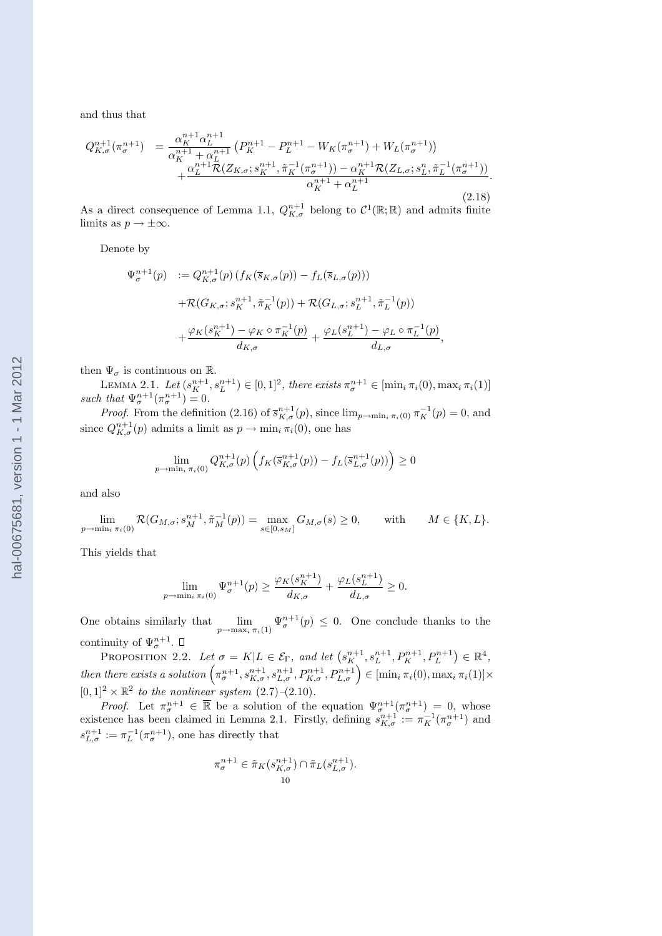and thus that

$$
Q_{K,\sigma}^{n+1}(\pi_{\sigma}^{n+1}) = \frac{\alpha_{K}^{n+1}\alpha_{L}^{n+1}}{\alpha_{K}^{n+1} + \alpha_{L}^{n+1}} \left( P_{K}^{n+1} - P_{L}^{n+1} - W_{K}(\pi_{\sigma}^{n+1}) + W_{L}(\pi_{\sigma}^{n+1}) \right) + \frac{\alpha_{L}^{n+1}\mathcal{R}(Z_{K,\sigma}; s_{K}^{n+1}, \tilde{\pi}_{K}^{-1}(\pi_{\sigma}^{n+1})) - \alpha_{K}^{n+1}\mathcal{R}(Z_{L,\sigma}; s_{L}^{n}, \tilde{\pi}_{L}^{-1}(\pi_{\sigma}^{n+1}))}{\alpha_{K}^{n+1} + \alpha_{L}^{n+1}}
$$
\n(2.18)

.

As a direct consequence of Lemma 1.1,  $Q_{K,\sigma}^{n+1}$  belong to  $\mathcal{C}^1(\mathbb{R};\mathbb{R})$  and admits finite limits as  $p \to \pm \infty$ .

Denote by

$$
\Psi_{\sigma}^{n+1}(p) := Q_{K,\sigma}^{n+1}(p) \left( f_K(\overline{s}_{K,\sigma}(p)) - f_L(\overline{s}_{L,\sigma}(p)) \right)
$$
  
+
$$
\mathcal{R}(G_{K,\sigma}; s_K^{n+1}, \tilde{\pi}_K^{-1}(p)) + \mathcal{R}(G_{L,\sigma}; s_L^{n+1}, \tilde{\pi}_L^{-1}(p))
$$
  
+
$$
\frac{\varphi_K(s_K^{n+1}) - \varphi_K \circ \pi_K^{-1}(p)}{d_{K,\sigma}} + \frac{\varphi_L(s_L^{n+1}) - \varphi_L \circ \pi_L^{-1}(p)}{d_{L,\sigma}},
$$

then  $\Psi_{\sigma}$  is continuous on  $\mathbb{R}$ .

LEMMA 2.1. Let  $(s_K^{n+1}, s_L^{n+1}) \in [0, 1]^2$ , there exists  $\pi_{\sigma}^{n+1} \in [\min_i \pi_i(0), \max_i \pi_i(1)]$ such that  $\Psi_{\sigma}^{n+1}(\pi_{\sigma}^{n+1})=0.$ 

*Proof.* From the definition (2.16) of  $\overline{s}_{K,\sigma}^{n+1}(p)$ , since  $\lim_{p\to\min_i \pi_i(0)} \pi_K^{-1}(p) = 0$ , and since  $Q_{K,\sigma}^{n+1}(p)$  admits a limit as  $p \to \min_i \pi_i(0)$ , one has

$$
\lim_{p \to \min_i \pi_i(0)} Q_{K,\sigma}^{n+1}(p) \left( f_K(\overline{s}_{K,\sigma}^{n+1}(p)) - f_L(\overline{s}_{L,\sigma}^{n+1}(p)) \right) \ge 0
$$

and also

$$
\lim_{p \to \min_i \pi_i(0)} \mathcal{R}(G_{M,\sigma}; s_M^{n+1}, \tilde{\pi}_M^{-1}(p)) = \max_{s \in [0, s_M]} G_{M,\sigma}(s) \ge 0, \quad \text{with} \quad M \in \{K, L\}.
$$

This yields that

$$
\lim_{p \to \min_i \pi_i(0)} \Psi_{\sigma}^{n+1}(p) \ge \frac{\varphi_K(s_K^{n+1})}{d_{K,\sigma}} + \frac{\varphi_L(s_L^{n+1})}{d_{L,\sigma}} \ge 0.
$$

One obtains similarly that  $\lim_{p\to \max_i \pi_i(1)} \Psi_{\sigma}^{n+1}(p) \leq 0$ . One conclude thanks to the continuity of  $\Psi_{\sigma}^{n+1}$ . ¢

PROPOSITION 2.2. Let  $\sigma = K | L \in \mathcal{E}_{\Gamma}$ , and let  $(s_K^{n+1}, s_L^{n+1}, P_K^{n+1}, P_L^{n+1})$ PROPOSITION 2.2. Let  $\sigma = K | L \in \mathcal{E}_{\Gamma}$ , and let  $(s_K^{n+1}, s_L^{n+1}, P_K^{n+1}, P_L^{n+1}) \in \mathbb{R}^4$ ,<br>then there exists a solution  $(\pi_{\sigma}^{n+1}, s_{K,\sigma}^{n+1}, s_{L,\sigma}^{n+1}, P_{K,\sigma}^{n+1}, P_{L,\sigma}^{n+1}) \in [\min_i \pi_i(0), \max_i \pi_i(1)] \times$  $[0,1]^2 \times \mathbb{R}^2$  to the nonlinear system  $(2.7)$ – $(2.10)$ .

*Proof.* Let  $\pi_{\sigma}^{n+1} \in \overline{\mathbb{R}}$  be a solution of the equation  $\Psi_{\sigma}^{n+1}(\pi_{\sigma}^{n+1}) = 0$ , whose existence has been claimed in Lemma 2.1. Firstly, defining  $s_{K,\sigma}^{n+1} := \pi_K^{-1}(\pi_\sigma^{n+1})$  and  $s_{L,\sigma}^{n+1} := \pi_L^{-1}(\pi_\sigma^{n+1}),$  one has directly that

$$
\pi_{\sigma}^{n+1} \in \tilde{\pi}_K(s_{K,\sigma}^{n+1}) \cap \tilde{\pi}_L(s_{L,\sigma}^{n+1}).
$$
  
10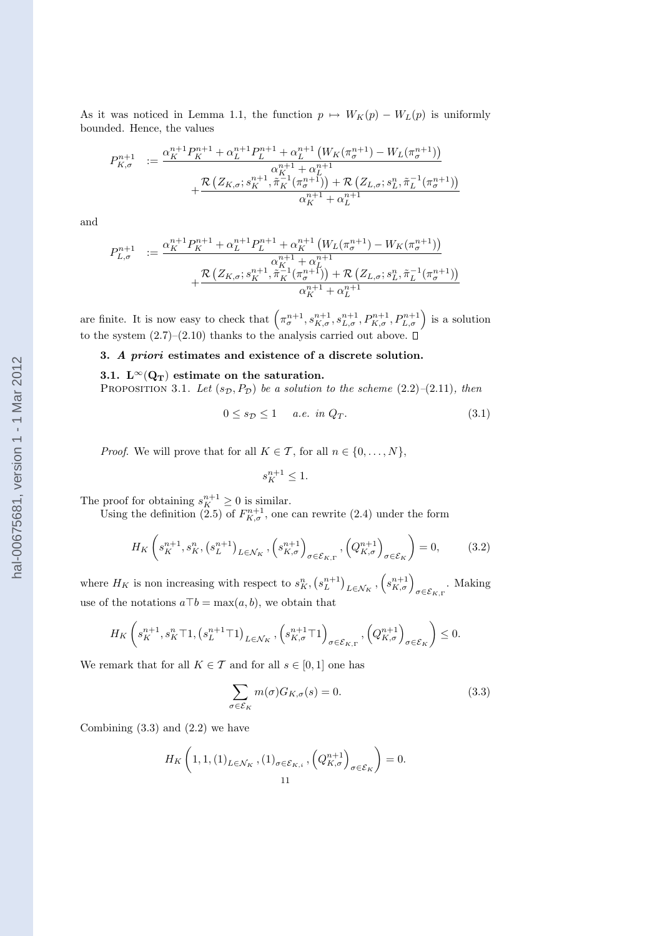As it was noticed in Lemma 1.1, the function  $p \mapsto W_K(p) - W_L(p)$  is uniformly bounded. Hence, the values

$$
P_{K,\sigma}^{n+1} := \frac{\alpha_K^{n+1} P_K^{n+1} + \alpha_L^{n+1} P_L^{n+1} + \alpha_L^{n+1} (W_K(\pi_\sigma^{n+1}) - W_L(\pi_\sigma^{n+1}))}{\alpha_K^{n+1} + \alpha_L^{n+1}} + \frac{\mathcal{R}\left(Z_{K,\sigma}; s_K^{n+1}, \tilde{\pi}_K^{-1}(\pi_\sigma^{n+1})\right) + \mathcal{R}\left(Z_{L,\sigma}; s_L^n, \tilde{\pi}_L^{-1}(\pi_\sigma^{n+1})\right)}{\alpha_K^{n+1} + \alpha_L^{n+1}}
$$

and

$$
P_{L,\sigma}^{n+1} := \frac{\alpha_K^{n+1} P_K^{n+1} + \alpha_L^{n+1} P_L^{n+1} + \alpha_K^{n+1} (W_L(\pi_\sigma^{n+1}) - W_K(\pi_\sigma^{n+1}))}{\alpha_{K_1}^{n+1} + \alpha_L^{n+1} + \frac{\alpha_{K_1}^{n+1} (\pi_\sigma^{n+1}) + \mathcal{R} (Z_{L,\sigma}; s_L^n, \tilde{\pi}_L^{-1}(\pi_\sigma^{n+1}))}{\alpha_K^{n+1} + \alpha_L^{n+1}}
$$

are finite. It is now easy to check that  $\left(\pi_{\sigma}^{n+1}, s_{K,\sigma}^{n+1}, s_{L,\sigma}^{n+1}, P_{K,\sigma}^{n+1}, P_{L,\sigma}^{n+1}\right)$  is a solution to the system  $(2.7)$ – $(2.10)$  thanks to the analysis carried out above.  $\Box$ 

### 3. A priori estimates and existence of a discrete solution.

## 3.1.  $L^{\infty}(Q_T)$  estimate on the saturation.

PROPOSITION 3.1. Let  $(s_{\mathcal{D}}, P_{\mathcal{D}})$  be a solution to the scheme (2.2)–(2.11), then

$$
0 \le s_{\mathcal{D}} \le 1 \quad a.e. \in \mathcal{D}_T. \tag{3.1}
$$

*Proof.* We will prove that for all  $K \in \mathcal{T}$ , for all  $n \in \{0, \ldots, N\}$ ,

$$
s_K^{n+1} \le 1.
$$

The proof for obtaining  $s_K^{n+1} \geq 0$  is similar.

Using the definition (2.5) of  $F_{K,\sigma}^{n+1}$ , one can rewrite (2.4) under the form

$$
H_K\left(s_K^{n+1}, s_K^n, \left(s_L^{n+1}\right)_{L\in\mathcal{N}_K}, \left(s_{K,\sigma}^{n+1}\right)_{\sigma\in\mathcal{E}_{K,\Gamma}}, \left(Q_{K,\sigma}^{n+1}\right)_{\sigma\in\mathcal{E}_K}\right) = 0,\tag{3.2}
$$

where  $H_K$  is non increasing with respect to  $s_K^n$ , ¡  $s_L^{n+1}$ ¢  $L \in \mathcal{N}_K$ ,  $s_{K,\sigma}^{n+1}\Big\rangle_{\sigma \in \mathcal{E}_{K,\Gamma}}$ . Making use of the notations  $a\bar{b} = \max(a, b)$ , we obtain that

$$
H_{K}\left(s_{K}^{n+1}, s_{K}^{n} \top 1, \left(s_{L}^{n+1} \top 1\right)_{L \in \mathcal{N}_{K}}, \left(s_{K, \sigma}^{n+1} \top 1\right)_{\sigma \in \mathcal{E}_{K, \Gamma}}, \left(Q_{K, \sigma}^{n+1}\right)_{\sigma \in \mathcal{E}_{K}}\right) \leq 0.
$$

We remark that for all  $K \in \mathcal{T}$  and for all  $s \in [0, 1]$  one has

$$
\sum_{\sigma \in \mathcal{E}_K} m(\sigma) G_{K,\sigma}(s) = 0.
$$
\n(3.3)

Combining  $(3.3)$  and  $(2.2)$  we have

$$
H_K\left(1,1,\left(1\right)_{L\in\mathcal{N}_K},\left(1\right)_{\sigma\in\mathcal{E}_{K,i}},\left(Q_{K,\sigma}^{n+1}\right)_{\sigma\in\mathcal{E}_K}\right)=0.
$$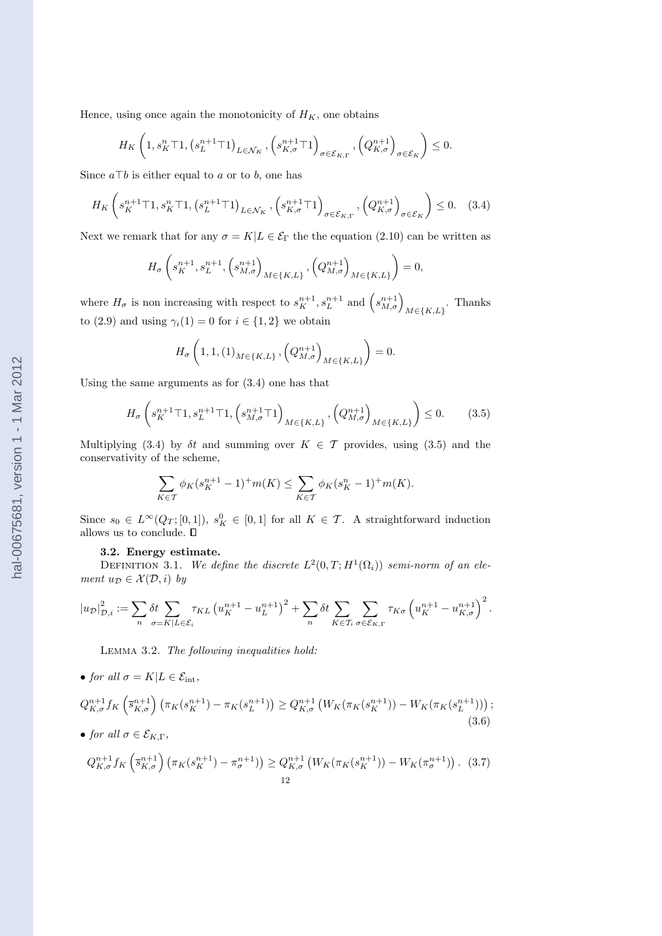Hence, using once again the monotonicity of  $H_K$ , one obtains

$$
H_K\left(1, s_K^n \top 1, \left(s_L^{n+1} \top 1\right)_{L \in \mathcal{N}_K}, \left(s_{K,\sigma}^{n+1} \top 1\right)_{\sigma \in \mathcal{E}_{K,\Gamma}}, \left(Q_{K,\sigma}^{n+1}\right)_{\sigma \in \mathcal{E}_K}\right) \leq 0.
$$

Since  $a \top b$  is either equal to a or to b, one has

$$
H_K\left(s_K^{n+1}\top 1, s_K^n\top 1, \left(s_L^{n+1}\top 1\right)_{L\in\mathcal{N}_K}, \left(s_{K,\sigma}^{n+1}\top 1\right)_{\sigma\in\mathcal{E}_{K,\Gamma}}, \left(Q_{K,\sigma}^{n+1}\right)_{\sigma\in\mathcal{E}_K}\right) \le 0. \tag{3.4}
$$

Next we remark that for any  $\sigma = K|L \in \mathcal{E}_{\Gamma}$  the the equation (2.10) can be written as

$$
H_{\sigma}\left(s_{K}^{n+1}, s_{L}^{n+1}, \left(s_{M, \sigma}^{n+1}\right)_{M \in \{K, L\}}, \left(Q_{M, \sigma}^{n+1}\right)_{M \in \{K, L\}}\right) = 0,
$$

where  $H_{\sigma}$  is non increasing with respect to  $s_K^{n+1}, s_L^{n+1}$  and  $(s_{M,\sigma}^{n+1})_{M \in \{K,L\}}$ . Thanks to (2.9) and using  $\gamma_i(1) = 0$  for  $i \in \{1,2\}$  we obtain

$$
H_{\sigma}\left(1,1,(1)_{M\in\{K,L\}},\left(Q_{M,\sigma}^{n+1}\right)_{M\in\{K,L\}}\right)=0.
$$

Using the same arguments as for (3.4) one has that

$$
H_{\sigma}\left(s_K^{n+1}\top 1, s_L^{n+1}\top 1, \left(s_{M,\sigma}^{n+1}\top 1\right)_{M\in\{K,L\}}, \left(Q_{M,\sigma}^{n+1}\right)_{M\in\{K,L\}}\right) \le 0. \tag{3.5}
$$

Multiplying (3.4) by  $\delta t$  and summing over  $K \in \mathcal{T}$  provides, using (3.5) and the conservativity of the scheme,

$$
\sum_{K \in \mathcal{T}} \phi_K(s_K^{n+1} - 1)^+ m(K) \le \sum_{K \in \mathcal{T}} \phi_K(s_K^n - 1)^+ m(K).
$$

Since  $s_0 \in L^{\infty}(Q_T;[0,1])$ ,  $s_K^0 \in [0,1]$  for all  $K \in \mathcal{T}$ . A straightforward induction allows us to conclude.  $\square$ 

### 3.2. Energy estimate.

DEFINITION 3.1. We define the discrete  $L^2(0,T;H^1(\Omega_i))$  semi-norm of an element  $u_{\mathcal{D}} \in \mathcal{X}(\mathcal{D}, i)$  by

$$
\left|u_{\mathcal{D}}\right|_{\mathcal{D},i}^2 := \sum_n \delta t \sum_{\sigma = K|L \in \mathcal{E}_i} \tau_{KL} \left(u_K^{n+1} - u_L^{n+1}\right)^2 + \sum_n \delta t \sum_{K \in \mathcal{T}_i} \sum_{\sigma \in \mathcal{E}_{K,\Gamma}} \tau_{K\sigma} \left(u_K^{n+1} - u_{K,\sigma}^{n+1}\right)^2.
$$

Lemma 3.2. The following inequalities hold:

• for all  $\sigma = K | L \in \mathcal{E}_{\text{int}},$ 

$$
Q_{K,\sigma}^{n+1} f_K \left( \overline{s}_{K,\sigma}^{n+1} \right) \left( \pi_K(s_K^{n+1}) - \pi_K(s_L^{n+1}) \right) \geq Q_{K,\sigma}^{n+1} \left( W_K(\pi_K(s_K^{n+1})) - W_K(\pi_K(s_L^{n+1})) \right);
$$
\n(3.6)

• for all  $\sigma \in \mathcal{E}_{K,\Gamma}$ ,

$$
Q_{K,\sigma}^{n+1} f_K\left(\overline{s}_{K,\sigma}^{n+1}\right) \left(\pi_K(s_K^{n+1}) - \pi_{\sigma}^{n+1}\right) \geq Q_{K,\sigma}^{n+1} \left(W_K(\pi_K(s_K^{n+1})) - W_K(\pi_{\sigma}^{n+1})\right). \tag{3.7}
$$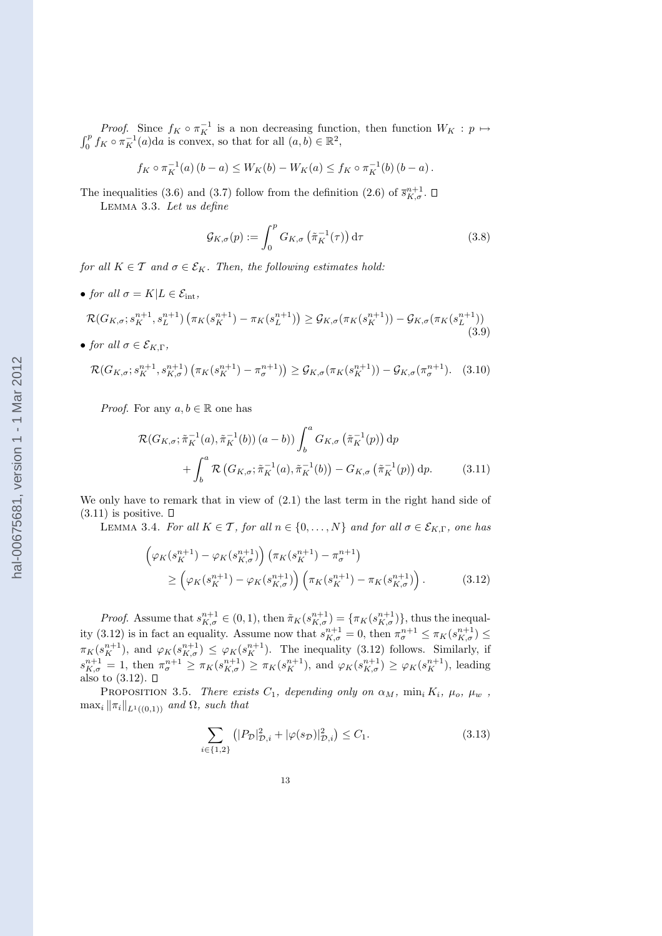*Proof.* Since  $f_K \circ \pi_K^{-1}$  is a non decreasing function, then function  $W_K : p \mapsto$  $\int_0^p f_K \circ \pi_K^{-1}(a) da$  is convex, so that for all  $(a, b) \in \mathbb{R}^2$ ,

$$
f_K \circ \pi_K^{-1}(a) (b - a) \le W_K(b) - W_K(a) \le f_K \circ \pi_K^{-1}(b) (b - a).
$$

The inequalities (3.6) and (3.7) follow from the definition (2.6) of  $\bar{s}_{K,\sigma}^{n+1}$ . Lemma 3.3. Let us define

$$
\mathcal{G}_{K,\sigma}(p) := \int_0^p G_{K,\sigma}\left(\tilde{\pi}_K^{-1}(\tau)\right) d\tau \tag{3.8}
$$

for all  $K \in \mathcal{T}$  and  $\sigma \in \mathcal{E}_K$ . Then, the following estimates hold:

• for all  $\sigma = K | L \in \mathcal{E}_{\text{int}}$ ,

$$
\mathcal{R}(G_{K,\sigma}; s_K^{n+1}, s_L^{n+1}) \left(\pi_K(s_K^{n+1}) - \pi_K(s_L^{n+1})\right) \geq \mathcal{G}_{K,\sigma}(\pi_K(s_K^{n+1})) - \mathcal{G}_{K,\sigma}(\pi_K(s_L^{n+1}))
$$
\n(3.9)

• for all  $\sigma \in \mathcal{E}_{K,\Gamma}$ ,

$$
\mathcal{R}(G_{K,\sigma}; s_K^{n+1}, s_{K,\sigma}^{n+1}) \left( \pi_K(s_K^{n+1}) - \pi_{\sigma}^{n+1} \right) \geq \mathcal{G}_{K,\sigma}(\pi_K(s_K^{n+1})) - \mathcal{G}_{K,\sigma}(\pi_{\sigma}^{n+1}). \tag{3.10}
$$

*Proof.* For any  $a, b \in \mathbb{R}$  one has

$$
\mathcal{R}(G_{K,\sigma}; \tilde{\pi}_K^{-1}(a), \tilde{\pi}_K^{-1}(b)) (a - b)) \int_b^a G_{K,\sigma} \left(\tilde{\pi}_K^{-1}(p)\right) dp
$$
  
+ 
$$
\int_b^a \mathcal{R}\left(G_{K,\sigma}; \tilde{\pi}_K^{-1}(a), \tilde{\pi}_K^{-1}(b)\right) - G_{K,\sigma} \left(\tilde{\pi}_K^{-1}(p)\right) dp.
$$
 (3.11)

We only have to remark that in view of (2.1) the last term in the right hand side of  $(3.11)$  is positive.  $\Box$ 

LEMMA 3.4. For all  $K \in \mathcal{T}$ , for all  $n \in \{0, \ldots, N\}$  and for all  $\sigma \in \mathcal{E}_{K,\Gamma}$ , one has

$$
\left(\varphi_K(s_K^{n+1}) - \varphi_K(s_{K,\sigma}^{n+1})\right) \left(\pi_K(s_K^{n+1}) - \pi_{\sigma}^{n+1}\right) \n\ge \left(\varphi_K(s_K^{n+1}) - \varphi_K(s_{K,\sigma}^{n+1})\right) \left(\pi_K(s_K^{n+1}) - \pi_K(s_{K,\sigma}^{n+1})\right).
$$
\n(3.12)

*Proof.* Assume that  $s_{K,\sigma}^{n+1} \in (0,1)$ , then  $\tilde{\pi}_K(s_{K,\sigma}^{n+1}) = {\pi_K(s_{K,\sigma}^{n+1})}$ , thus the inequality (3.12) is in fact an equality. Assume now that  $s_{K,\sigma}^{n+1} = 0$ , then  $\pi_{\sigma}^{n+1} \leq \pi_K(s_{K,\sigma}^{n+1}) \leq$  $\pi_K(s_K^{n+1})$ , and  $\varphi_K(s_{K,\sigma}^{n+1}) \leq \varphi_K(s_K^{n+1})$ . The inequality (3.12) follows. Similarly, if  $s_{K,\sigma}^{n+1} = 1$ , then  $\pi_{\sigma}^{n+1} \geq \pi_K(s_{K,\sigma}^{n+1}) \geq \pi_K(s_K^{n+1})$ , and  $\varphi_K(s_{K,\sigma}^{n+1}) \geq \varphi_K(s_K^{n+1})$ , leading also to (3.12).

PROPOSITION 3.5. There exists  $C_1$ , depending only on  $\alpha_M$ ,  $\min_i K_i$ ,  $\mu_o$ ,  $\mu_w$ ,  $\max_i \|\pi_i\|_{L^1((0,1))}$  and  $\Omega$ , such that

$$
\sum_{i \in \{1,2\}} \left( |P_{\mathcal{D}}|_{\mathcal{D},i}^2 + |\varphi(s_{\mathcal{D}})|_{\mathcal{D},i}^2 \right) \le C_1. \tag{3.13}
$$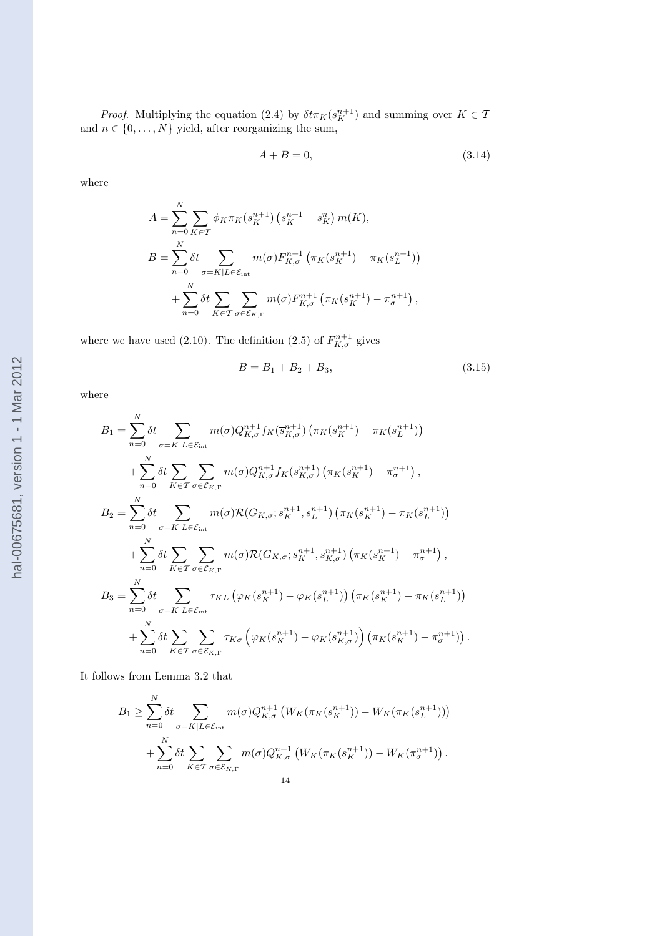*Proof.* Multiplying the equation (2.4) by  $\delta t \pi_K(s_K^{n+1})$  and summing over  $K \in \mathcal{T}$ and  $n \in \{0, \ldots, N\}$  yield, after reorganizing the sum,

$$
A + B = 0,\t\t(3.14)
$$

where

$$
A = \sum_{n=0}^{N} \sum_{K \in \mathcal{T}} \phi_K \pi_K(s_K^{n+1}) \left( s_K^{n+1} - s_K^n \right) m(K),
$$
  
\n
$$
B = \sum_{n=0}^{N} \delta t \sum_{\sigma = K | L \in \mathcal{E}_{int}} m(\sigma) F_{K,\sigma}^{n+1} \left( \pi_K(s_K^{n+1}) - \pi_K(s_L^{n+1}) \right)
$$
  
\n
$$
+ \sum_{n=0}^{N} \delta t \sum_{K \in \mathcal{T}} \sum_{\sigma \in \mathcal{E}_{K,\Gamma}} m(\sigma) F_{K,\sigma}^{n+1} \left( \pi_K(s_K^{n+1}) - \pi_{\sigma}^{n+1} \right),
$$

where we have used (2.10). The definition (2.5) of  $F_{K,\sigma}^{n+1}$  gives

$$
B = B_1 + B_2 + B_3,\t\t(3.15)
$$

where

$$
B_{1} = \sum_{n=0}^{N} \delta t \sum_{\sigma=K|L \in \mathcal{E}_{int}} m(\sigma) Q_{K,\sigma}^{n+1} f_{K}(\bar{s}_{K,\sigma}^{n+1}) (\pi_{K}(s_{K}^{n+1}) - \pi_{K}(s_{L}^{n+1}))
$$
  
+ 
$$
\sum_{n=0}^{N} \delta t \sum_{K \in \mathcal{T}} \sum_{\sigma \in \mathcal{E}_{K,\Gamma}} m(\sigma) Q_{K,\sigma}^{n+1} f_{K}(\bar{s}_{K,\sigma}^{n+1}) (\pi_{K}(s_{K}^{n+1}) - \pi_{\sigma}^{n+1}),
$$
  

$$
B_{2} = \sum_{n=0}^{N} \delta t \sum_{\sigma=K|L \in \mathcal{E}_{int}} m(\sigma) \mathcal{R}(G_{K,\sigma}; s_{K}^{n+1}, s_{L}^{n+1}) (\pi_{K}(s_{K}^{n+1}) - \pi_{K}(s_{L}^{n+1}))
$$
  
+ 
$$
\sum_{n=0}^{N} \delta t \sum_{K \in \mathcal{T}} \sum_{\sigma \in \mathcal{E}_{K,\Gamma}} m(\sigma) \mathcal{R}(G_{K,\sigma}; s_{K}^{n+1}, s_{K,\sigma}^{n+1}) (\pi_{K}(s_{K}^{n+1}) - \pi_{\sigma}^{n+1}),
$$
  

$$
B_{3} = \sum_{n=0}^{N} \delta t \sum_{\sigma=K|L \in \mathcal{E}_{int}} \tau_{KL} (\varphi_{K}(s_{K}^{n+1}) - \varphi_{K}(s_{L}^{n+1})) (\pi_{K}(s_{K}^{n+1}) - \pi_{K}(s_{L}^{n+1}))
$$
  
+ 
$$
\sum_{n=0}^{N} \delta t \sum_{K \in \mathcal{T}} \sum_{\sigma \in \mathcal{E}_{K,\Gamma}} \tau_{K\sigma} (\varphi_{K}(s_{K}^{n+1}) - \varphi_{K}(s_{K,\sigma}^{n+1})) (\pi_{K}(s_{K}^{n+1}) - \pi_{\sigma}^{n+1})).
$$

It follows from Lemma 3.2 that

$$
B_1 \geq \sum_{n=0}^N \delta t \sum_{\sigma = K|L \in \mathcal{E}_{int}} m(\sigma) Q_{K,\sigma}^{n+1} \left( W_K(\pi_K(s_K^{n+1})) - W_K(\pi_K(s_L^{n+1})) \right)
$$
  
+ 
$$
\sum_{n=0}^N \delta t \sum_{K \in \mathcal{T}} \sum_{\sigma \in \mathcal{E}_{K,\Gamma}} m(\sigma) Q_{K,\sigma}^{n+1} \left( W_K(\pi_K(s_K^{n+1})) - W_K(\pi_{\sigma}^{n+1}) \right).
$$
  
14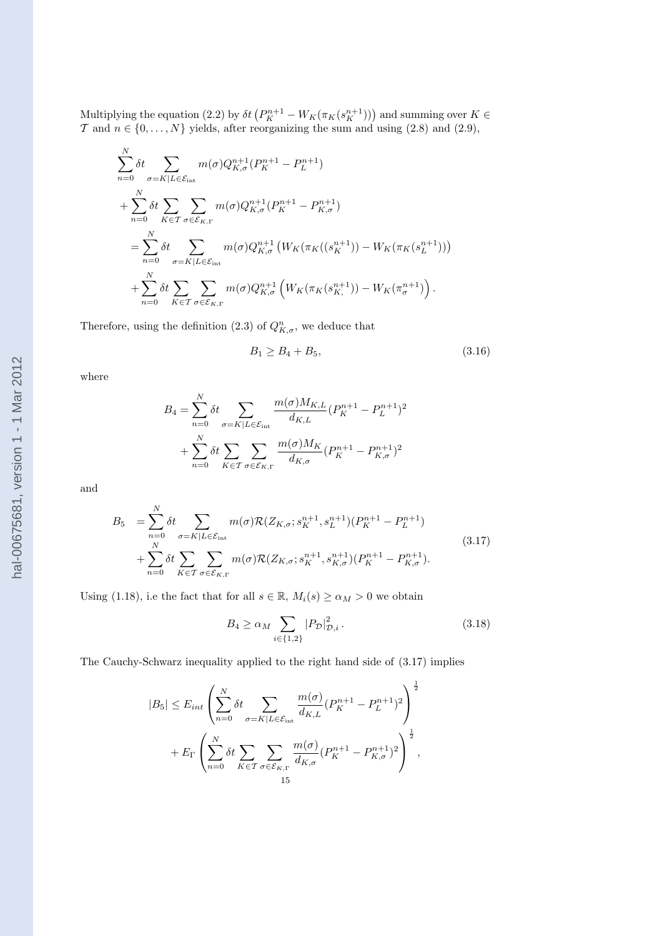Multiplying the equation (2.2) by  $\delta t (P_K^{n+1} - W_K(\pi_K(s_K^{n+1})))$  and summing over  $K \in$ T and  $n \in \{0, \ldots, N\}$  yields, after reorganizing the sum and using  $(2.8)$  and  $(2.9)$ ,

$$
\sum_{n=0}^{N} \delta t \sum_{\sigma=K|L \in \mathcal{E}_{int}} m(\sigma) Q_{K,\sigma}^{n+1}(P_K^{n+1} - P_L^{n+1})
$$
  
+ 
$$
\sum_{n=0}^{N} \delta t \sum_{K \in \mathcal{T}} \sum_{\sigma \in \mathcal{E}_{K,\Gamma}} m(\sigma) Q_{K,\sigma}^{n+1}(P_K^{n+1} - P_{K,\sigma}^{n+1})
$$
  
= 
$$
\sum_{n=0}^{N} \delta t \sum_{\sigma=K|L \in \mathcal{E}_{int}} m(\sigma) Q_{K,\sigma}^{n+1}(W_K(\pi_K((s_K^{n+1})) - W_K(\pi_K(s_L^{n+1})))
$$
  
+ 
$$
\sum_{n=0}^{N} \delta t \sum_{K \in \mathcal{T}} \sum_{\sigma \in \mathcal{E}_{K,\Gamma}} m(\sigma) Q_{K,\sigma}^{n+1}(W_K(\pi_K(s_K^{n+1})) - W_K(\pi_{\sigma}^{n+1})) .
$$

Therefore, using the definition (2.3) of  $Q_{K,\sigma}^n$ , we deduce that

$$
B_1 \ge B_4 + B_5,\tag{3.16}
$$

where

$$
B_4 = \sum_{n=0}^{N} \delta t \sum_{\sigma = K|L \in \mathcal{E}_{int}} \frac{m(\sigma)M_{K,L}}{d_{K,L}} (P_K^{n+1} - P_L^{n+1})^2
$$

$$
+ \sum_{n=0}^{N} \delta t \sum_{K \in \mathcal{T}} \sum_{\sigma \in \mathcal{E}_{K,\Gamma}} \frac{m(\sigma)M_K}{d_{K,\sigma}} (P_K^{n+1} - P_{K,\sigma}^{n+1})^2
$$

and

$$
B_{5} = \sum_{n=0}^{N} \delta t \sum_{\sigma=K|L \in \mathcal{E}_{int}} m(\sigma) \mathcal{R}(Z_{K,\sigma}; s_{K}^{n+1}, s_{L}^{n+1}) (P_{K}^{n+1} - P_{L}^{n+1}) + \sum_{n=0}^{N} \delta t \sum_{K \in \mathcal{T}} \sum_{\sigma \in \mathcal{E}_{K,\Gamma}} m(\sigma) \mathcal{R}(Z_{K,\sigma}; s_{K}^{n+1}, s_{K,\sigma}^{n+1}) (P_{K}^{n+1} - P_{K,\sigma}^{n+1}).
$$
\n(3.17)

Using (1.18), i.e the fact that for all  $s \in \mathbb{R}$ ,  $M_i(s) \ge \alpha_M > 0$  we obtain

$$
B_4 \ge \alpha_M \sum_{i \in \{1, 2\}} |P_{\mathcal{D}}|_{\mathcal{D}, i}^2.
$$
 (3.18)

The Cauchy-Schwarz inequality applied to the right hand side of (3.17) implies

$$
|B_5| \le E_{int} \left( \sum_{n=0}^N \delta t \sum_{\sigma = K | L \in \mathcal{E}_{int}} \frac{m(\sigma)}{d_{K,L}} (P_K^{n+1} - P_L^{n+1})^2 \right)^{\frac{1}{2}}
$$
  
+ 
$$
E_{\Gamma} \left( \sum_{n=0}^N \delta t \sum_{K \in \mathcal{T}} \sum_{\sigma \in \mathcal{E}_{K,\Gamma}} \frac{m(\sigma)}{d_{K,\sigma}} (P_K^{n+1} - P_{K,\sigma}^{n+1})^2 \right)^{\frac{1}{2}},
$$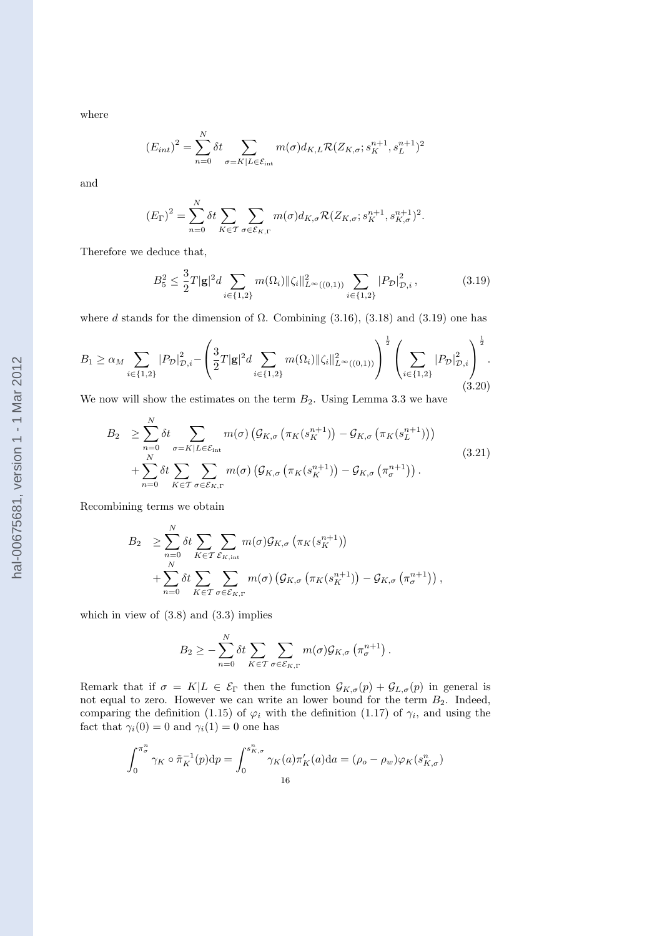where

$$
(E_{int})^2 = \sum_{n=0}^N \delta t \sum_{\sigma = K|L \in \mathcal{E}_{int}} m(\sigma) d_{K,L} \mathcal{R}(Z_{K,\sigma}; s_K^{n+1}, s_L^{n+1})^2
$$

and

$$
(E_{\Gamma})^2 = \sum_{n=0}^{N} \delta t \sum_{K \in \mathcal{T}} \sum_{\sigma \in \mathcal{E}_{K,\Gamma}} m(\sigma) d_{K,\sigma} \mathcal{R}(Z_{K,\sigma}; s_K^{n+1}, s_{K,\sigma}^{n+1})^2.
$$

Therefore we deduce that,

$$
B_5^2 \le \frac{3}{2}T|\mathbf{g}|^2 d \sum_{i \in \{1,2\}} m(\Omega_i) \|\zeta_i\|_{L^\infty((0,1))}^2 \sum_{i \in \{1,2\}} |P_{\mathcal{D}}|_{\mathcal{D},i}^2, \tag{3.19}
$$

where d stands for the dimension of  $\Omega$ . Combining (3.16), (3.18) and (3.19) one has

$$
B_1 \ge \alpha_M \sum_{i \in \{1,2\}} |P_{\mathcal{D}}|_{\mathcal{D},i}^2 - \left(\frac{3}{2}T|\mathbf{g}|^2 d \sum_{i \in \{1,2\}} m(\Omega_i) \|\zeta_i\|_{L^{\infty}((0,1))}^2\right)^{\frac{1}{2}} \left(\sum_{i \in \{1,2\}} |P_{\mathcal{D}}|_{\mathcal{D},i}^2\right)^{\frac{1}{2}}.
$$
\n(3.20)

We now will show the estimates on the term  $B_2$ . Using Lemma 3.3 we have

$$
B_2 \geq \sum_{n=0}^{N} \delta t \sum_{\sigma=K|L \in \mathcal{E}_{int}} m(\sigma) \left( \mathcal{G}_{K,\sigma} \left( \pi_K(s_K^{n+1}) \right) - \mathcal{G}_{K,\sigma} \left( \pi_K(s_L^{n+1}) \right) \right) + \sum_{n=0}^{N} \delta t \sum_{K \in \mathcal{T}} \sum_{\sigma \in \mathcal{E}_{K,\Gamma}} m(\sigma) \left( \mathcal{G}_{K,\sigma} \left( \pi_K(s_K^{n+1}) \right) - \mathcal{G}_{K,\sigma} \left( \pi_{\sigma}^{n+1} \right) \right).
$$
 (3.21)

Recombining terms we obtain

$$
B_2 \geq \sum_{n=0}^{N} \delta t \sum_{K \in \mathcal{T}} \sum_{\mathcal{E}_{K,\text{int}}} m(\sigma) \mathcal{G}_{K,\sigma} \left( \pi_K(s_K^{n+1}) \right)
$$
  
+ 
$$
\sum_{n=0}^{N} \delta t \sum_{K \in \mathcal{T}} \sum_{\sigma \in \mathcal{E}_{K,\Gamma}} m(\sigma) \left( \mathcal{G}_{K,\sigma} \left( \pi_K(s_K^{n+1}) \right) - \mathcal{G}_{K,\sigma} \left( \pi_{\sigma}^{n+1} \right) \right),
$$

which in view of  $(3.8)$  and  $(3.3)$  implies

$$
B_2 \geq -\sum_{n=0}^N \delta t \sum_{K \in \mathcal{T}} \sum_{\sigma \in \mathcal{E}_{K,\Gamma}} m(\sigma) \mathcal{G}_{K,\sigma} \left( \pi_{\sigma}^{n+1} \right).
$$

Remark that if  $\sigma = K|L \in \mathcal{E}_{\Gamma}$  then the function  $\mathcal{G}_{K,\sigma}(p) + \mathcal{G}_{L,\sigma}(p)$  in general is not equal to zero. However we can write an lower bound for the term  $B_2$ . Indeed, comparing the definition (1.15) of  $\varphi_i$  with the definition (1.17) of  $\gamma_i$ , and using the fact that  $\gamma_i(0) = 0$  and  $\gamma_i(1) = 0$  one has

$$
\int_0^{\pi_\sigma^n} \gamma_K \circ \tilde{\pi}_K^{-1}(p) dp = \int_0^{s_{K,\sigma}^n} \gamma_K(a) \pi'_K(a) da = (\rho_o - \rho_w) \varphi_K(s_{K,\sigma}^n)
$$
  
16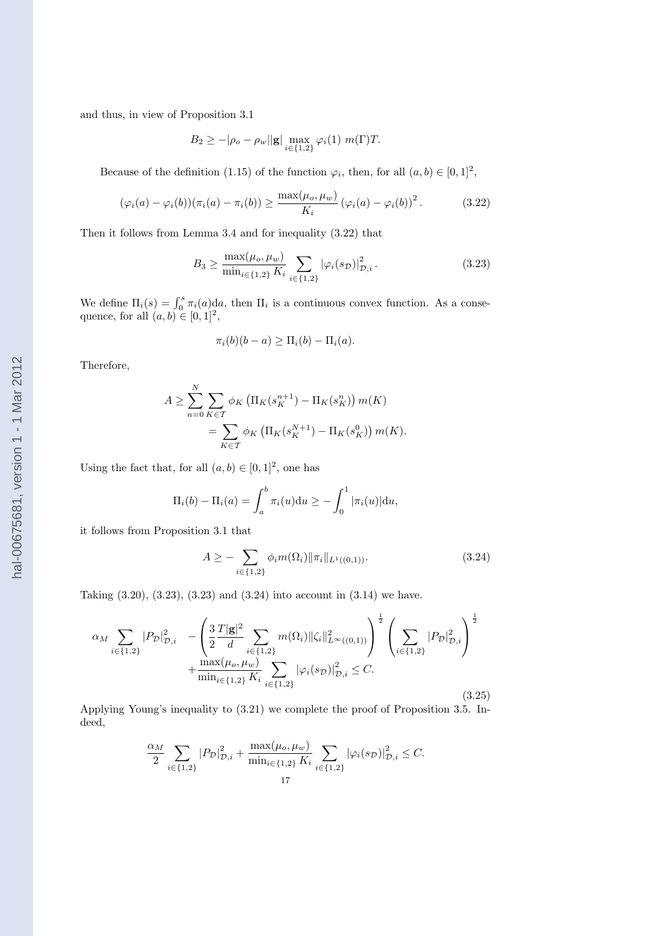and thus, in view of Proposition 3.1

$$
B_2 \ge -|\rho_o - \rho_w||\mathbf{g}| \max_{i \in \{1,2\}} \varphi_i(1) \ m(\Gamma)T.
$$

Because of the definition (1.15) of the function  $\varphi_i$ , then, for all  $(a, b) \in [0, 1]^2$ ,

$$
(\varphi_i(a) - \varphi_i(b))(\pi_i(a) - \pi_i(b)) \ge \frac{\max(\mu_o, \mu_w)}{K_i} (\varphi_i(a) - \varphi_i(b))^2.
$$
 (3.22)

Then it follows from Lemma 3.4 and for inequality (3.22) that

$$
B_3 \ge \frac{\max(\mu_o, \mu_w)}{\min_{i \in \{1, 2\}} K_i} \sum_{i \in \{1, 2\}} |\varphi_i(s_{\mathcal{D}})|^2_{\mathcal{D}, i}.
$$
 (3.23)

We define  $\Pi_i(s) = \int_0^s \pi_i(a) da$ , then  $\Pi_i$  is a continuous convex function. As a consequence, for all  $(a, b) \in [0, 1]^2$ ,

$$
\pi_i(b)(b-a) \ge \Pi_i(b) - \Pi_i(a).
$$

Therefore,

$$
A \ge \sum_{n=0}^{N} \sum_{K \in \mathcal{T}} \phi_K \left( \Pi_K(s_K^{n+1}) - \Pi_K(s_K^n) \right) m(K)
$$
  
= 
$$
\sum_{K \in \mathcal{T}} \phi_K \left( \Pi_K(s_K^{N+1}) - \Pi_K(s_K^0) \right) m(K).
$$

Using the fact that, for all  $(a, b) \in [0, 1]^2$ , one has

$$
\Pi_i(b) - \Pi_i(a) = \int_a^b \pi_i(u) du \ge - \int_0^1 |\pi_i(u)| du,
$$

it follows from Proposition 3.1 that

$$
A \geq -\sum_{i \in \{1,2\}} \phi_i m(\Omega_i) \|\pi_i\|_{L^1((0,1))}.
$$
\n(3.24)

Taking (3.20), (3.23), (3.23) and (3.24) into account in (3.14) we have.

$$
\alpha_{M} \sum_{i \in \{1,2\}} |P_{\mathcal{D}}|_{\mathcal{D},i}^{2} - \left(\frac{3}{2} \frac{T|\mathbf{g}|^{2}}{d} \sum_{i \in \{1,2\}} m(\Omega_{i}) \|\zeta_{i}\|_{L^{\infty}((0,1))}^{2}\right)^{\frac{1}{2}} \left(\sum_{i \in \{1,2\}} |P_{\mathcal{D}}|_{\mathcal{D},i}^{2}\right)^{\frac{1}{2}} + \frac{\max(\mu_{o}, \mu_{w})}{\min_{i \in \{1,2\}} K_{i}} \sum_{i \in \{1,2\}} |\varphi_{i}(s_{\mathcal{D}})|_{\mathcal{D},i}^{2} \leq C.
$$
\n(3.25)

Applying Young's inequality to (3.21) we complete the proof of Proposition 3.5. Indeed,

$$
\frac{\alpha_M}{2} \sum_{i \in \{1,2\}} |P_{\mathcal{D}}|_{\mathcal{D},i}^2 + \frac{\max(\mu_o, \mu_w)}{\min_{i \in \{1,2\}} K_i} \sum_{i \in \{1,2\}} |\varphi_i(s_{\mathcal{D}})|_{\mathcal{D},i}^2 \leq C.
$$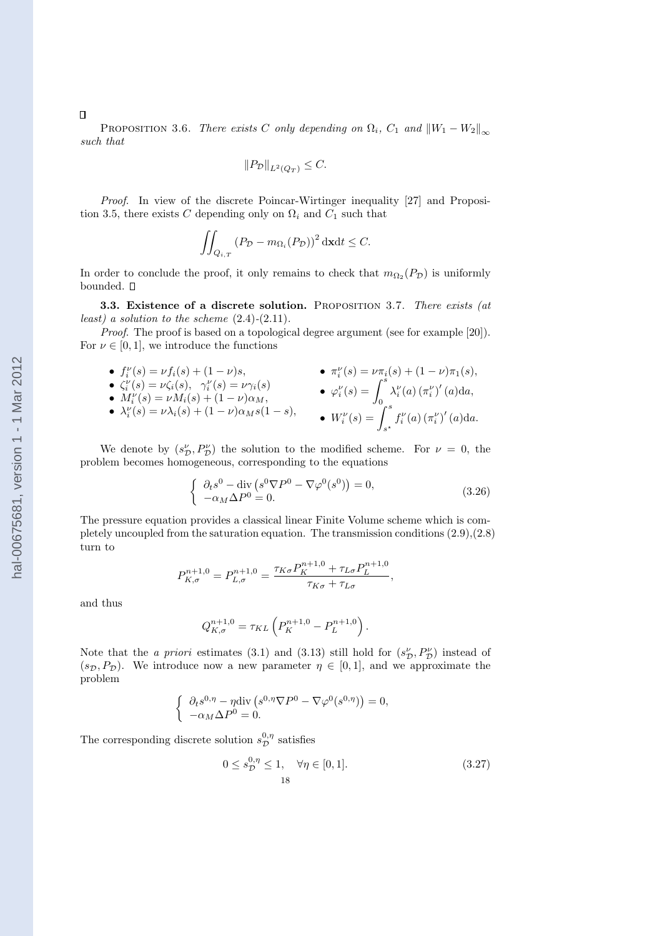PROPOSITION 3.6. There exists C only depending on  $\Omega_i$ ,  $C_1$  and  $||W_1 - W_2||_{\infty}$ such that

$$
||P_{\mathcal{D}}||_{L^2(Q_T)} \leq C.
$$

Proof. In view of the discrete Poincar-Wirtinger inequality [27] and Proposition 3.5, there exists C depending only on  $\Omega_i$  and  $C_1$  such that

$$
\iint_{Q_{i,T}} (P_{\mathcal{D}} - m_{\Omega_i}(P_{\mathcal{D}}))^2 \, \mathrm{d} \mathbf{x} \mathrm{d} t \le C.
$$

In order to conclude the proof, it only remains to check that  $m_{\Omega_2}(P_{\mathcal{D}})$  is uniformly bounded.  $\square$ 

3.3. Existence of a discrete solution. Proposition 3.7. There exists (at least) a solution to the scheme  $(2.4)-(2.11)$ .

Proof. The proof is based on a topological degree argument (see for example [20]). For  $\nu \in [0, 1]$ , we introduce the functions

• 
$$
f_i^{\nu}(s) = \nu f_i(s) + (1 - \nu)s
$$
,  
\n•  $\zeta_i^{\nu}(s) = \nu \zeta_i(s)$ ,  $\gamma_i^{\nu}(s) = \nu \gamma_i(s)$   
\n•  $M_i^{\nu}(s) = \nu M_i(s) + (1 - \nu)\alpha_M$ ,  
\n•  $\lambda_i^{\nu}(s) = \nu \lambda_i(s) + (1 - \nu)\alpha_M s(1 - s)$ ,  
\n•  $W_i^{\nu}(s) = \int_s^s \lambda_i^{\nu}(a) (\pi_i^{\nu})'(a) da$ ,  
\n•  $W_i^{\nu}(s) = \int_{s^*}^s f_i^{\nu}(a) (\pi_i^{\nu})'(a) da$ .

We denote by  $(s_{\mathcal{D}}^{\nu}, P_{\mathcal{D}}^{\nu})$  the solution to the modified scheme. For  $\nu = 0$ , the problem becomes homogeneous, corresponding to the equations

$$
\begin{cases} \partial_t s^0 - \operatorname{div} \left( s^0 \nabla P^0 - \nabla \varphi^0(s^0) \right) = 0, \\ -\alpha_M \Delta P^0 = 0. \end{cases} \tag{3.26}
$$

The pressure equation provides a classical linear Finite Volume scheme which is completely uncoupled from the saturation equation. The transmission conditions (2.9),(2.8) turn to

$$
P_{K,\sigma}^{n+1,0} = P_{L,\sigma}^{n+1,0} = \frac{\tau_{K\sigma} P_K^{n+1,0} + \tau_{L\sigma} P_L^{n+1,0}}{\tau_{K\sigma} + \tau_{L\sigma}},
$$

and thus

$$
Q_{K,\sigma}^{n+1,0} = \tau_{KL} \left( P_K^{n+1,0} - P_L^{n+1,0} \right).
$$

Note that the *a priori* estimates (3.1) and (3.13) still hold for  $(s_{\mathcal{D}}^{\nu}, P_{\mathcal{D}}^{\nu})$  instead of  $(s_{\mathcal{D}}, P_{\mathcal{D}})$ . We introduce now a new parameter  $\eta \in [0, 1]$ , and we approximate the problem

$$
\begin{cases} \partial_t s^{0,\eta} - \eta \operatorname{div} \left( s^{0,\eta} \nabla P^0 - \nabla \varphi^0(s^{0,\eta}) \right) = 0, \\ -\alpha_M \Delta P^0 = 0. \end{cases}
$$

The corresponding discrete solution  $s_{\mathcal{D}}^{0,\eta}$  satisfies

$$
0 \le s_{\mathcal{D}}^{0,\eta} \le 1, \quad \forall \eta \in [0,1].
$$
\n(3.27)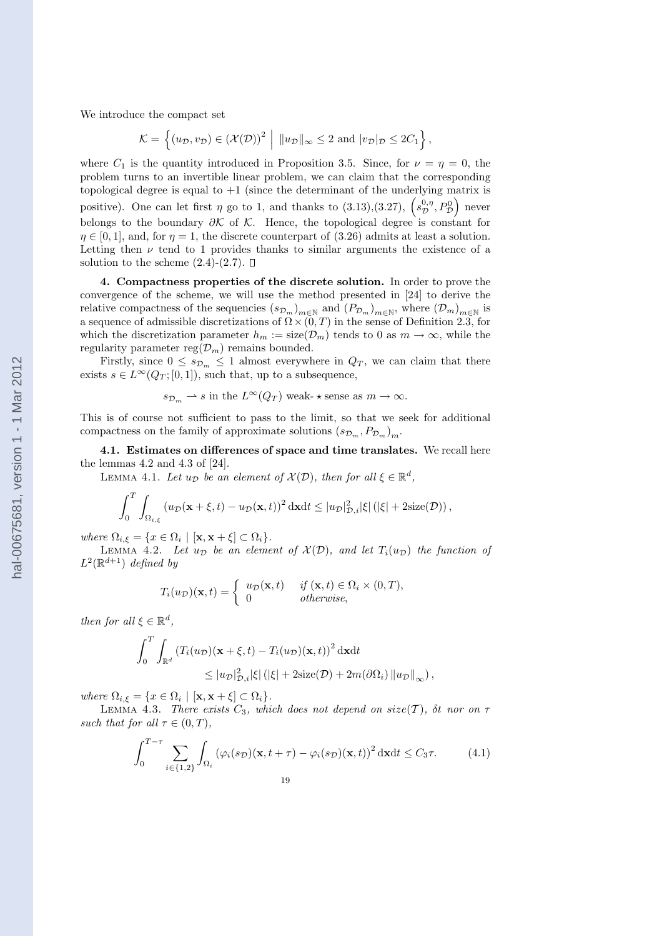We introduce the compact set

$$
\mathcal{K} = \left\{ (u_{\mathcal{D}}, v_{\mathcal{D}}) \in (\mathcal{X}(\mathcal{D}))^2 \middle| ||u_{\mathcal{D}}||_{\infty} \leq 2 \text{ and } |v_{\mathcal{D}}|_{\mathcal{D}} \leq 2C_1 \right\},\
$$

where  $C_1$  is the quantity introduced in Proposition 3.5. Since, for  $\nu = \eta = 0$ , the problem turns to an invertible linear problem, we can claim that the corresponding topological degree is equal to  $+1$  (since the determinant of the underlying matrix is topological degree is equal to  $+1$  (since the determinant of the underlying matrix is positive). One can let first  $\eta$  go to 1, and thanks to  $(3.13),(3.27), \left(s_{\mathcal{D}}^{0,\eta},P_{\mathcal{D}}^{0}\right)$  never belongs to the boundary  $\partial K$  of  $K$ . Hence, the topological degree is constant for  $\eta \in [0,1]$ , and, for  $\eta = 1$ , the discrete counterpart of (3.26) admits at least a solution. Letting then  $\nu$  tend to 1 provides thanks to similar arguments the existence of a solution to the scheme  $(2.4)-(2.7)$ .  $\Box$ 

4. Compactness properties of the discrete solution. In order to prove the convergence of the scheme, we will use the method presented in [24] to derive the relative compactness of the sequencies  $(s_{\mathcal{D}_m})_{m\in\mathbb{N}}$  and  $(P_{\mathcal{D}_m})_{m\in\mathbb{N}}$ , where  $(\mathcal{D}_m)_{m\in\mathbb{N}}$  is a sequence of admissible discretizations of  $\Omega \times (0, T)$  in the sense of Definition 2.3, for which the discretization parameter  $h_m := \text{size}(\mathcal{D}_m)$  tends to 0 as  $m \to \infty$ , while the regularity parameter reg $(\mathcal{D}_m)$  remains bounded.

Firstly, since  $0 \leq s_{\mathcal{D}_m} \leq 1$  almost everywhere in  $Q_T$ , we can claim that there exists  $s \in L^{\infty}(Q_T; [0, 1])$ , such that, up to a subsequence,

$$
s_{\mathcal{D}_m} \rightharpoonup s
$$
 in the  $L^{\infty}(Q_T)$  weak-  $\star$  sense as  $m \to \infty$ .

This is of course not sufficient to pass to the limit, so that we seek for additional compactness on the family of approximate solutions  $(s_{\mathcal{D}_m}, P_{\mathcal{D}_m})_m$ .

4.1. Estimates on differences of space and time translates. We recall here the lemmas 4.2 and 4.3 of [24].

LEMMA 4.1. Let  $u_{\mathcal{D}}$  be an element of  $\mathcal{X}(\mathcal{D})$ , then for all  $\xi \in \mathbb{R}^d$ ,

$$
\int_0^T \int_{\Omega_{i,\xi}} \left( u_{\mathcal{D}}(\mathbf{x} + \xi, t) - u_{\mathcal{D}}(\mathbf{x}, t) \right)^2 \mathrm{d}\mathbf{x} \mathrm{d}t \leq |u_{\mathcal{D}}|_{\mathcal{D},i}^2 |\xi| \left( |\xi| + 2 \mathrm{size}(\mathcal{D}) \right),
$$

where  $\Omega_{i,\xi} = \{x \in \Omega_i \mid [\mathbf{x}, \mathbf{x} + \xi] \subset \Omega_i\}.$ 

LEMMA 4.2. Let  $u_{\mathcal{D}}$  be an element of  $\mathcal{X}(\mathcal{D})$ , and let  $T_i(u_{\mathcal{D}})$  the function of  $L^2(\mathbb{R}^{d+1})$  defined by

$$
T_i(u_{\mathcal{D}})(\mathbf{x},t) = \begin{cases} u_{\mathcal{D}}(\mathbf{x},t) & \text{if } (\mathbf{x},t) \in \Omega_i \times (0,T), \\ 0 & \text{otherwise,} \end{cases}
$$

then for all  $\xi \in \mathbb{R}^d$ ,

$$
\int_0^T \int_{\mathbb{R}^d} \left( T_i(u_\mathcal{D})(\mathbf{x} + \xi, t) - T_i(u_\mathcal{D})(\mathbf{x}, t) \right)^2 \mathrm{d}\mathbf{x} \mathrm{d}t
$$
  
\$\leq |u\_\mathcal{D}|^2\_{\mathcal{D},i} |\xi| \left( |\xi| + 2 \mathrm{size}(\mathcal{D}) + 2m(\partial \Omega\_i) \|u\_\mathcal{D}\|\_\infty \right),\$

where  $\Omega_{i,\xi} = \{x \in \Omega_i \mid [\mathbf{x}, \mathbf{x} + \xi] \subset \Omega_i\}.$ 

LEMMA 4.3. There exists  $C_3$ , which does not depend on size(T),  $\delta t$  nor on  $\tau$ such that for all  $\tau \in (0, T)$ ,

$$
\int_0^{T-\tau} \sum_{i \in \{1,2\}} \int_{\Omega_i} \left( \varphi_i(s_{\mathcal{D}})(\mathbf{x}, t + \tau) - \varphi_i(s_{\mathcal{D}})(\mathbf{x}, t) \right)^2 d\mathbf{x} dt \le C_3 \tau.
$$
 (4.1)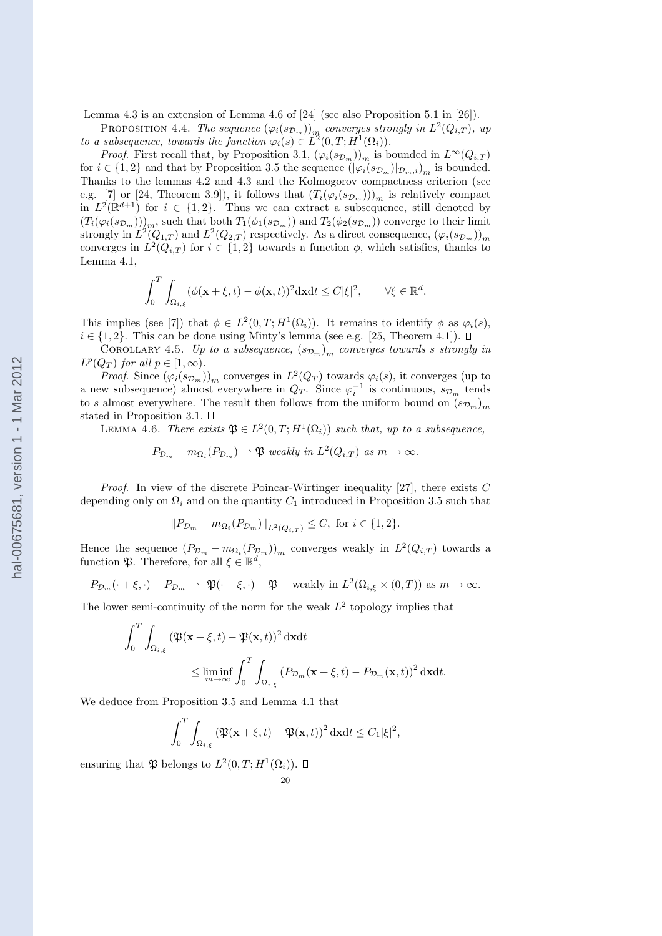Lemma 4.3 is an extension of Lemma 4.6 of [24] (see also Proposition 5.1 in [26]).

PROPOSITION 4.4. The sequence  $(\varphi_i(s_{\mathcal{D}_m}))_{m}$  converges strongly in  $L^2(Q_{i,T})$ , up to a subsequence, towards the function  $\varphi_i(s) \in L^2(0,T;H^1(\Omega_i)).$ 

*Proof.* First recall that, by Proposition 3.1,  $(\varphi_i(s_{\mathcal{D}_m}))_m$  is bounded in  $L^{\infty}(Q_{i,T})$ for  $i \in \{1,2\}$  and that by Proposition 3.5 the sequence  $(|\varphi_i(s_{\mathcal{D}_m})|_{\mathcal{D}_m,i})_m$  is bounded. Thanks to the lemmas 4.2 and 4.3 and the Kolmogorov compactness criterion (see e.g. [7] or [24, Theorem 3.9]), it follows that  $(T_i(\varphi_i(s_{\mathcal{D}_m})))_m$  is relatively compact in  $L^2(\mathbb{R}^{d+1})$  for  $i \in \{1,2\}$ . Thus we can extract a subsequence, still denoted by  $(T_i(\varphi_i(s_{\mathcal{D}_m}))\vert_m$ , such that both  $T_1(\phi_1(s_{\mathcal{D}_m}))$  and  $T_2(\phi_2(s_{\mathcal{D}_m}))$  converge to their limit strongly in  $L^2(Q_{1,T})$  and  $L^2(Q_{2,T})$  respectively. As a direct consequence,  $(\varphi_i(s_{\mathcal{D}_m}))_m$ converges in  $L^2(Q_{i,T})$  for  $i \in \{1,2\}$  towards a function  $\phi$ , which satisfies, thanks to Lemma 4.1,

$$
\int_0^T \int_{\Omega_{i,\xi}} (\phi(\mathbf{x} + \xi, t) - \phi(\mathbf{x}, t))^2 \, \mathrm{d}\mathbf{x} \mathrm{d}t \leq C |\xi|^2, \qquad \forall \xi \in \mathbb{R}^d.
$$

This implies (see [7]) that  $\phi \in L^2(0,T;H^1(\Omega_i))$ . It remains to identify  $\phi$  as  $\varphi_i(s)$ ,  $i \in \{1, 2\}$ . This can be done using Minty's lemma (see e.g. [25, Theorem 4.1]). □

COROLLARY 4.5. Up to a subsequence,  $(s_{\mathcal{D}_m})_m$  converges towards s strongly in  $L^p(Q_T)$  for all  $p \in [1,\infty)$ .

*Proof.* Since  $(\varphi_i(s_{\mathcal{D}_m}))_m$  converges in  $L^2(Q_T)$  towards  $\varphi_i(s)$ , it converges (up to a new subsequence) almost everywhere in  $Q_T$ . Since  $\varphi_i^{-1}$  is continuous,  $s_{\mathcal{D}_m}$  tends to s almost everywhere. The result then follows from the uniform bound on  $(s_{\mathcal{D}_m})_m$ stated in Proposition 3.1.  $\Box$ 

LEMMA 4.6. There exists  $\mathfrak{P} \in L^2(0,T;H^1(\Omega_i))$  such that, up to a subsequence,

$$
P_{\mathcal{D}_m} - m_{\Omega_i}(P_{\mathcal{D}_m}) \rightharpoonup \mathfrak{P}
$$
 weakly in  $L^2(Q_{i,T})$  as  $m \to \infty$ .

*Proof.* In view of the discrete Poincar-Wirtinger inequality [27], there exists  $C$ depending only on  $\Omega_i$  and on the quantity  $C_1$  introduced in Proposition 3.5 such that

$$
||P_{\mathcal{D}_m} - m_{\Omega_i}(P_{\mathcal{D}_m})||_{L^2(Q_{i,T})} \leq C, \text{ for } i \in \{1,2\}.
$$

Hence the sequence  $(P_{\mathcal{D}_m} - m_{\Omega_i}(P_{\mathcal{D}_m}))_m$  converges weakly in  $L^2(Q_{i,T})$  towards a function  $\mathfrak{P}$ . Therefore, for all  $\xi \in \mathbb{R}^d$ ,

$$
P_{\mathcal{D}_m}(\cdot + \xi, \cdot) - P_{\mathcal{D}_m} \rightharpoonup \mathfrak{P}(\cdot + \xi, \cdot) - \mathfrak{P} \quad \text{weakly in } L^2(\Omega_{i,\xi} \times (0,T)) \text{ as } m \to \infty.
$$

The lower semi-continuity of the norm for the weak  $L^2$  topology implies that

$$
\int_0^T \int_{\Omega_{i,\xi}} \left( \mathfrak{P}(\mathbf{x} + \xi, t) - \mathfrak{P}(\mathbf{x}, t) \right)^2 d\mathbf{x} dt
$$
  
\$\leq\$ 
$$
\liminf_{m \to \infty} \int_0^T \int_{\Omega_{i,\xi}} \left( P_{\mathcal{D}_m}(\mathbf{x} + \xi, t) - P_{\mathcal{D}_m}(\mathbf{x}, t) \right)^2 d\mathbf{x} dt.
$$

We deduce from Proposition 3.5 and Lemma 4.1 that

$$
\int_0^T \int_{\Omega_{i,\xi}} \left( \mathfrak{P}(\mathbf{x} + \xi, t) - \mathfrak{P}(\mathbf{x}, t) \right)^2 \mathrm{d}\mathbf{x} \mathrm{d}t \leq C_1 |\xi|^2,
$$

ensuring that  $\mathfrak P$  belongs to  $L^2(0,T;H^1(\Omega_i))$ .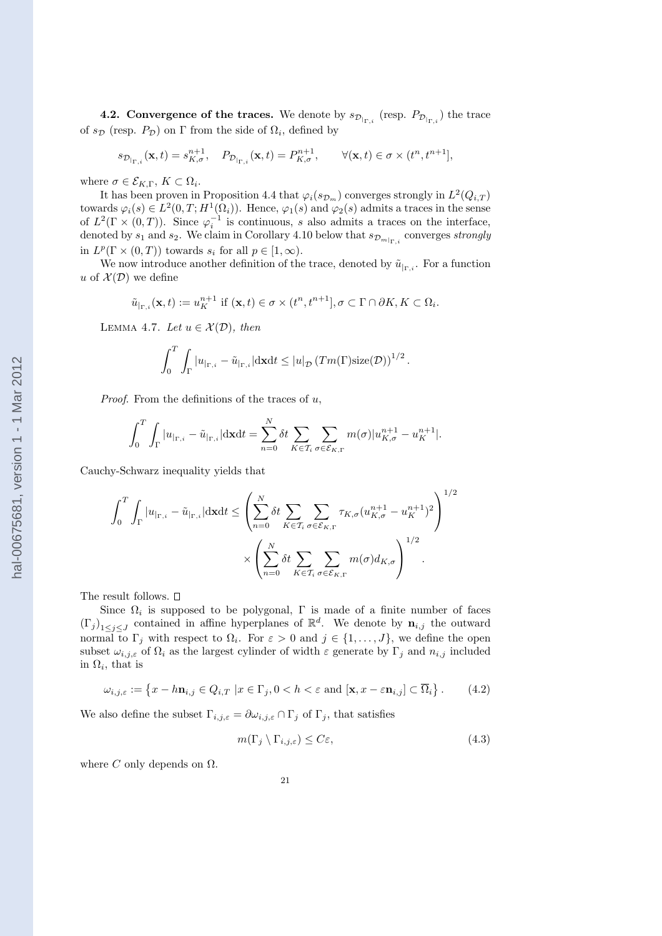**4.2.** Convergence of the traces. We denote by  $s_{\mathcal{D}_{|\Gamma,i}}$  (resp.  $P_{\mathcal{D}_{|\Gamma,i}}$ ) the trace of  $s_{\mathcal{D}}$  (resp.  $P_{\mathcal{D}}$ ) on  $\Gamma$  from the side of  $\Omega_i$ , defined by

$$
s_{\mathcal{D}_{|\Gamma,i}}(\mathbf{x},t) = s_{K,\sigma}^{n+1}, \quad P_{\mathcal{D}_{|\Gamma,i}}(\mathbf{x},t) = P_{K,\sigma}^{n+1}, \qquad \forall (\mathbf{x},t) \in \sigma \times (t^n, t^{n+1}],
$$

where  $\sigma \in \mathcal{E}_{K,\Gamma}, K \subset \Omega_i$ .

It has been proven in Proposition 4.4 that  $\varphi_i(s_{\mathcal{D}_m})$  converges strongly in  $L^2(Q_{i,T})$ towards  $\varphi_i(s) \in L^2(0,T;H^1(\Omega_i))$ . Hence,  $\varphi_1(s)$  and  $\varphi_2(s)$  admits a traces in the sense of  $L^2(\Gamma \times (0,T))$ . Since  $\varphi_i^{-1}$  is continuous, s also admits a traces on the interface, denoted by  $s_1$  and  $s_2$ . We claim in Corollary 4.10 below that  $s_{\mathcal{D}_{m|_{\Gamma,i}}}$  converges strongly in  $L^p(\Gamma \times (0,T))$  towards  $s_i$  for all  $p \in [1,\infty)$ .

We now introduce another definition of the trace, denoted by  $\tilde{u}_{\vert_{\Gamma,i}}$ . For a function u of  $\mathcal{X}(\mathcal{D})$  we define

$$
\tilde{u}_{|_{\Gamma,i}}(\mathbf{x},t) := u_K^{n+1} \text{ if } (\mathbf{x},t) \in \sigma \times (t^n,t^{n+1}], \sigma \subset \Gamma \cap \partial K, K \subset \Omega_i.
$$

LEMMA 4.7. Let  $u \in \mathcal{X}(\mathcal{D})$ , then

$$
\int_0^T \int_{\Gamma} |u_{\mid \Gamma, i} - \tilde{u}_{\mid \Gamma, i}| d\mathbf{x} dt \leq |u|_{\mathcal{D}} \left( Tm(\Gamma) \text{size}(\mathcal{D}) \right)^{1/2}.
$$

*Proof.* From the definitions of the traces of  $u$ ,

$$
\int_0^T \int_{\Gamma} |u_{|\Gamma,i} - \tilde{u}_{|\Gamma,i}| d\mathbf{x} dt = \sum_{n=0}^N \delta t \sum_{K \in \mathcal{T}_i} \sum_{\sigma \in \mathcal{E}_{K,\Gamma}} m(\sigma) |u_{K,\sigma}^{n+1} - u_K^{n+1}|.
$$

Cauchy-Schwarz inequality yields that

$$
\int_0^T \int_{\Gamma} |u_{|\Gamma,i} - \tilde{u}_{|\Gamma,i}| d\mathbf{x} dt \le \left( \sum_{n=0}^N \delta t \sum_{K \in \mathcal{I}_i} \sum_{\sigma \in \mathcal{E}_{K,\Gamma}} \tau_{K,\sigma} (u_{K,\sigma}^{n+1} - u_K^{n+1})^2 \right)^{1/2} \times \left( \sum_{n=0}^N \delta t \sum_{K \in \mathcal{I}_i} \sum_{\sigma \in \mathcal{E}_{K,\Gamma}} m(\sigma) d_{K,\sigma} \right)^{1/2}.
$$

The result follows.  $\square$ 

Since  $\Omega_i$  is supposed to be polygonal,  $\Gamma$  is made of a finite number of faces  $(\Gamma_j)_{1 \leq j \leq J}$  contained in affine hyperplanes of  $\mathbb{R}^d$ . We denote by  $\mathbf{n}_{i,j}$  the outward normal to  $\Gamma_j$  with respect to  $\Omega_i$ . For  $\varepsilon > 0$  and  $j \in \{1, \ldots, J\}$ , we define the open subset  $\omega_{i,j,\varepsilon}$  of  $\Omega_i$  as the largest cylinder of width  $\varepsilon$  generate by  $\Gamma_j$  and  $n_{i,j}$  included in  $\Omega_i$ , that is

$$
\omega_{i,j,\varepsilon} := \left\{ x - h\mathbf{n}_{i,j} \in Q_{i,T} \mid x \in \Gamma_j, 0 < h < \varepsilon \text{ and } [\mathbf{x}, x - \varepsilon \mathbf{n}_{i,j}] \subset \overline{\Omega}_i \right\}. \tag{4.2}
$$

We also define the subset  $\Gamma_{i,j,\varepsilon} = \partial \omega_{i,j,\varepsilon} \cap \Gamma_j$  of  $\Gamma_j$ , that satisfies

$$
m(\Gamma_j \setminus \Gamma_{i,j,\varepsilon}) \le C\varepsilon,\tag{4.3}
$$

where C only depends on  $\Omega$ .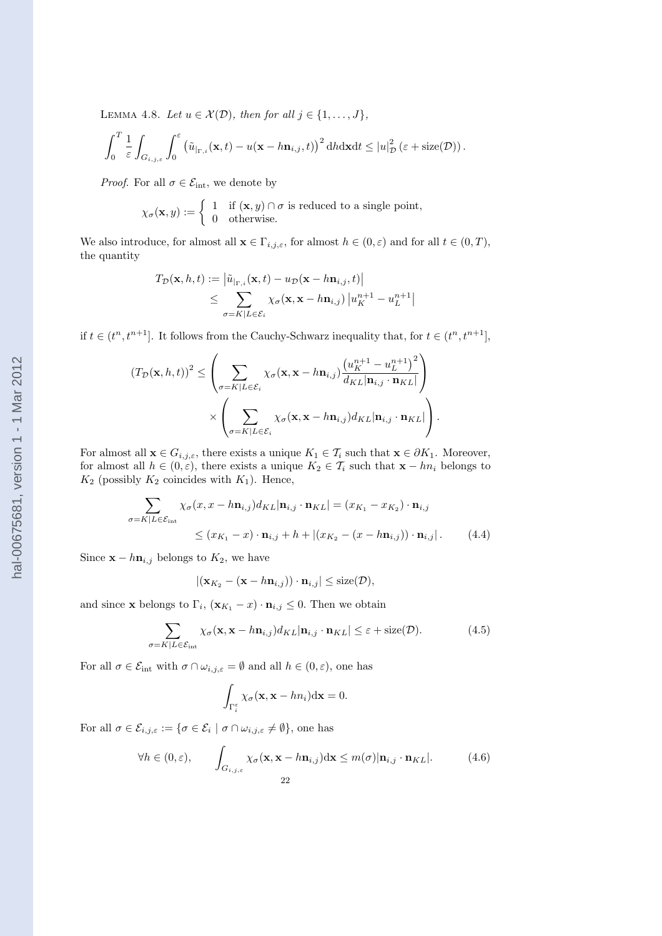LEMMA 4.8. Let  $u \in \mathcal{X}(\mathcal{D})$ , then for all  $j \in \{1, \ldots, J\}$ ,

$$
\int_0^T \frac{1}{\varepsilon} \int_{G_{i,j,\varepsilon}} \int_0^\varepsilon \left( \tilde{u}_{|_{\Gamma,i}}(\mathbf{x},t) - u(\mathbf{x}-h\mathbf{n}_{i,j},t) \right)^2 \mathrm{d}h \mathrm{d}\mathbf{x} \mathrm{d}t \leq |u|_{\mathcal{D}}^2 \left( \varepsilon + \mathrm{size}(\mathcal{D}) \right).
$$

*Proof.* For all  $\sigma \in \mathcal{E}_{\text{int}}$ , we denote by

$$
\chi_{\sigma}(\mathbf{x}, y) := \begin{cases} 1 & \text{if } (\mathbf{x}, y) \cap \sigma \text{ is reduced to a single point,} \\ 0 & \text{otherwise.} \end{cases}
$$

We also introduce, for almost all  $\mathbf{x} \in \Gamma_{i,j,\varepsilon}$ , for almost  $h \in (0,\varepsilon)$  and for all  $t \in (0,T)$ , the quantity

$$
T_{\mathcal{D}}(\mathbf{x}, h, t) := \left| \tilde{u}_{\vert_{\Gamma,i}}(\mathbf{x}, t) - u_{\mathcal{D}}(\mathbf{x} - h\mathbf{n}_{i,j}, t) \right|
$$
  
\n
$$
\leq \sum_{\sigma = K \vert L \in \mathcal{E}_i} \chi_{\sigma}(\mathbf{x}, \mathbf{x} - h\mathbf{n}_{i,j}) \left| u_K^{n+1} - u_L^{n+1} \right|
$$

if  $t \in (t^n, t^{n+1}]$ . It follows from the Cauchy-Schwarz inequality that, for  $t \in (t^n, t^{n+1}]$ ,

$$
(T_{\mathcal{D}}(\mathbf{x}, h, t))^{2} \leq \left(\sum_{\sigma=K|L\in\mathcal{E}_{i}} \chi_{\sigma}(\mathbf{x}, \mathbf{x} - h\mathbf{n}_{i,j}) \frac{\left(u_{K}^{n+1} - u_{L}^{n+1}\right)^{2}}{d_{KL}|\mathbf{n}_{i,j} \cdot \mathbf{n}_{KL}|}\right) \times \left(\sum_{\sigma=K|L\in\mathcal{E}_{i}} \chi_{\sigma}(\mathbf{x}, \mathbf{x} - h\mathbf{n}_{i,j}) d_{KL}|\mathbf{n}_{i,j} \cdot \mathbf{n}_{KL}|\right).
$$

For almost all  $\mathbf{x} \in G_{i,j,\varepsilon}$ , there exists a unique  $K_1 \in \mathcal{T}_i$  such that  $\mathbf{x} \in \partial K_1$ . Moreover, for almost all  $h \in (0, \varepsilon)$ , there exists a unique  $K_2 \in \mathcal{T}_i$  such that  $\mathbf{x} - hn_i$  belongs to  $K_2$  (possibly  $K_2$  coincides with  $K_1$ ). Hence,

$$
\sum_{\sigma=K|L\in\mathcal{E}_{int}} \chi_{\sigma}(x, x - h\mathbf{n}_{i,j}) d_{KL}|\mathbf{n}_{i,j} \cdot \mathbf{n}_{KL}| = (x_{K_1} - x_{K_2}) \cdot \mathbf{n}_{i,j}
$$
\n
$$
\leq (x_{K_1} - x) \cdot \mathbf{n}_{i,j} + h + |(x_{K_2} - (x - h\mathbf{n}_{i,j})) \cdot \mathbf{n}_{i,j}|. \tag{4.4}
$$

Since  $\mathbf{x} - h\mathbf{n}_{i,j}$  belongs to  $K_2$ , we have

$$
|(\mathbf{x}_{K_2} - (\mathbf{x} - h\mathbf{n}_{i,j})) \cdot \mathbf{n}_{i,j}| \leq \text{size}(\mathcal{D}),
$$

and since **x** belongs to  $\Gamma_i$ ,  $(\mathbf{x}_{K_1} - x) \cdot \mathbf{n}_{i,j} \leq 0$ . Then we obtain

$$
\sum_{\sigma=K|L\in\mathcal{E}_{\text{int}}} \chi_{\sigma}(\mathbf{x}, \mathbf{x} - h\mathbf{n}_{i,j}) d_{KL} |\mathbf{n}_{i,j} \cdot \mathbf{n}_{KL}| \leq \varepsilon + \text{size}(\mathcal{D}). \tag{4.5}
$$

For all  $\sigma \in \mathcal{E}_{int}$  with  $\sigma \cap \omega_{i,j,\varepsilon} = \emptyset$  and all  $h \in (0,\varepsilon)$ , one has

$$
\int_{\Gamma_i^{\varepsilon}} \chi_{\sigma}(\mathbf{x}, \mathbf{x} - h n_i) \mathrm{d} \mathbf{x} = 0.
$$

For all  $\sigma \in \mathcal{E}_{i,j,\varepsilon} := \{\sigma \in \mathcal{E}_i \mid \sigma \cap \omega_{i,j,\varepsilon} \neq \emptyset\}$ , one has

$$
\forall h \in (0, \varepsilon), \qquad \int_{G_{i,j,\varepsilon}} \chi_{\sigma}(\mathbf{x}, \mathbf{x} - h\mathbf{n}_{i,j}) d\mathbf{x} \leq m(\sigma) |\mathbf{n}_{i,j} \cdot \mathbf{n}_{KL}|.
$$
 (4.6)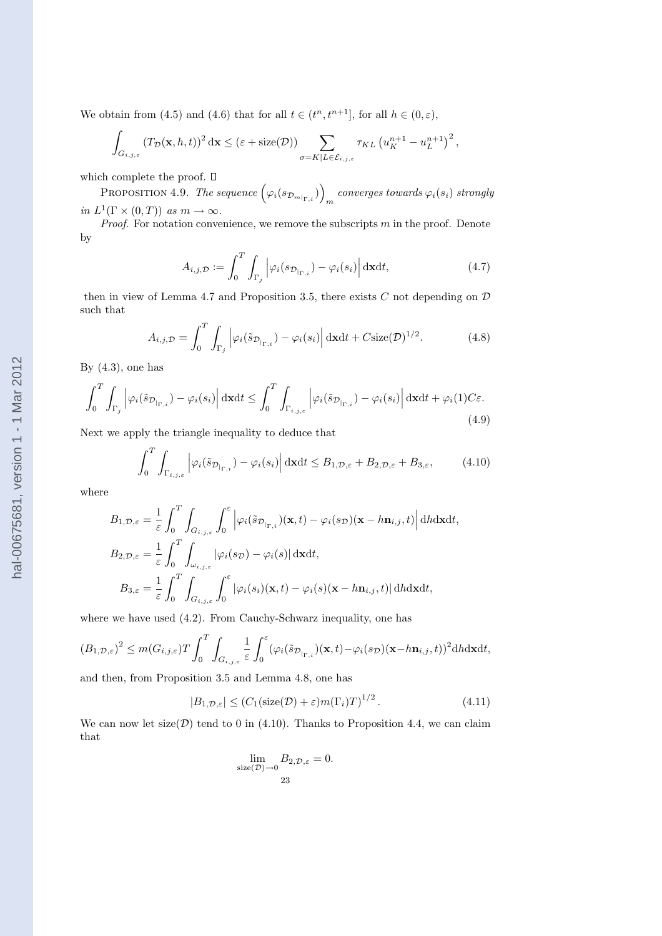We obtain from (4.5) and (4.6) that for all  $t \in (t^n, t^{n+1}]$ , for all  $h \in (0, \varepsilon)$ ,

$$
\int_{G_{i,j,\varepsilon}} \left( T_{\mathcal{D}}(\mathbf{x},h,t) \right)^2 d\mathbf{x} \leq (\varepsilon + \text{size}(\mathcal{D})) \sum_{\sigma = K|L \in \mathcal{E}_{i,j,\varepsilon}} \tau_{KL} \left( u_K^{n+1} - u_L^{n+1} \right)^2,
$$

which complete the proof.  $\Box$ 

:n complete the proof. L ${\sf P}$ ROPOSITION  $4.9.$  *The sequence*  $\Big(\varphi_i(s_{{\cal D}_{m|_{\Gamma,i}}})\Big)$  $converges$  towards  $\varphi_i(s_i)$  strongly in  $L^1(\Gamma \times (0,T))$  as  $m \to \infty$ .

*Proof.* For notation convenience, we remove the subscripts  $m$  in the proof. Denote by

$$
A_{i,j,\mathcal{D}} := \int_0^T \int_{\Gamma_j} \left| \varphi_i(s_{\mathcal{D}_{|\Gamma,i}}) - \varphi_i(s_i) \right| d\mathbf{x} dt, \tag{4.7}
$$

´

then in view of Lemma 4.7 and Proposition 3.5, there exists  $C$  not depending on  $D$ such that

$$
A_{i,j,\mathcal{D}} = \int_0^T \int_{\Gamma_j} \left| \varphi_i(\tilde{s}_{\mathcal{D}_{|\Gamma,i}}) - \varphi_i(s_i) \right| d\mathbf{x} dt + C \text{size}(\mathcal{D})^{1/2}.
$$
 (4.8)

By  $(4.3)$ , one has

$$
\int_0^T \int_{\Gamma_j} \left| \varphi_i(\tilde{s}_{\mathcal{D}_{|\Gamma,i}}) - \varphi_i(s_i) \right| d\mathbf{x} dt \le \int_0^T \int_{\Gamma_{i,j,\varepsilon}} \left| \varphi_i(\tilde{s}_{\mathcal{D}_{|\Gamma,i}}) - \varphi_i(s_i) \right| d\mathbf{x} dt + \varphi_i(1) C \varepsilon.
$$
\n(4.9)

Next we apply the triangle inequality to deduce that

$$
\int_0^T \int_{\Gamma_{i,j,\varepsilon}} \left| \varphi_i(\tilde{s}_{\mathcal{D}_{|\Gamma,i}}) - \varphi_i(s_i) \right| d\mathbf{x} dt \leq B_{1,\mathcal{D},\varepsilon} + B_{2,\mathcal{D},\varepsilon} + B_{3,\varepsilon},\tag{4.10}
$$

where

$$
B_{1,\mathcal{D},\varepsilon} = \frac{1}{\varepsilon} \int_0^T \int_{G_{i,j,\varepsilon}} \int_0^{\varepsilon} \left| \varphi_i(\tilde{s}_{\mathcal{D}_{|\Gamma,i}})(\mathbf{x},t) - \varphi_i(s_{\mathcal{D}})(\mathbf{x}-h\mathbf{n}_{i,j},t) \right| d\mathbf{h} d\mathbf{x} dt,
$$
  
\n
$$
B_{2,\mathcal{D},\varepsilon} = \frac{1}{\varepsilon} \int_0^T \int_{\omega_{i,j,\varepsilon}} |\varphi_i(s_{\mathcal{D}}) - \varphi_i(s)| d\mathbf{x} dt,
$$
  
\n
$$
B_{3,\varepsilon} = \frac{1}{\varepsilon} \int_0^T \int_{G_{i,j,\varepsilon}} \int_0^{\varepsilon} |\varphi_i(s_i)(\mathbf{x},t) - \varphi_i(s)(\mathbf{x}-h\mathbf{n}_{i,j},t)| d\mathbf{h} d\mathbf{x} dt,
$$

where we have used  $(4.2)$ . From Cauchy-Schwarz inequality, one has

$$
(B_{1,\mathcal{D},\varepsilon})^2 \leq m(G_{i,j,\varepsilon})T\int_0^T\int_{G_{i,j,\varepsilon}} \frac{1}{\varepsilon}\int_0^{\varepsilon} (\varphi_i(\tilde{s}_{\mathcal{D}_{|\Gamma,i}})(\mathbf{x},t) - \varphi_i(s_{\mathcal{D}})(\mathbf{x}-h\mathbf{n}_{i,j},t))^2 \mathrm{d}h\mathrm{d}\mathbf{x}\mathrm{d}t,
$$

and then, from Proposition 3.5 and Lemma 4.8, one has

$$
|B_{1,\mathcal{D},\varepsilon}| \le (C_1(\text{size}(\mathcal{D}) + \varepsilon)m(\Gamma_i)T)^{1/2}.
$$
 (4.11)

We can now let  $size(\mathcal{D})$  tend to 0 in (4.10). Thanks to Proposition 4.4, we can claim that

$$
\lim_{\text{size}(\mathcal{D}) \to 0} B_{2,\mathcal{D},\varepsilon} = 0.
$$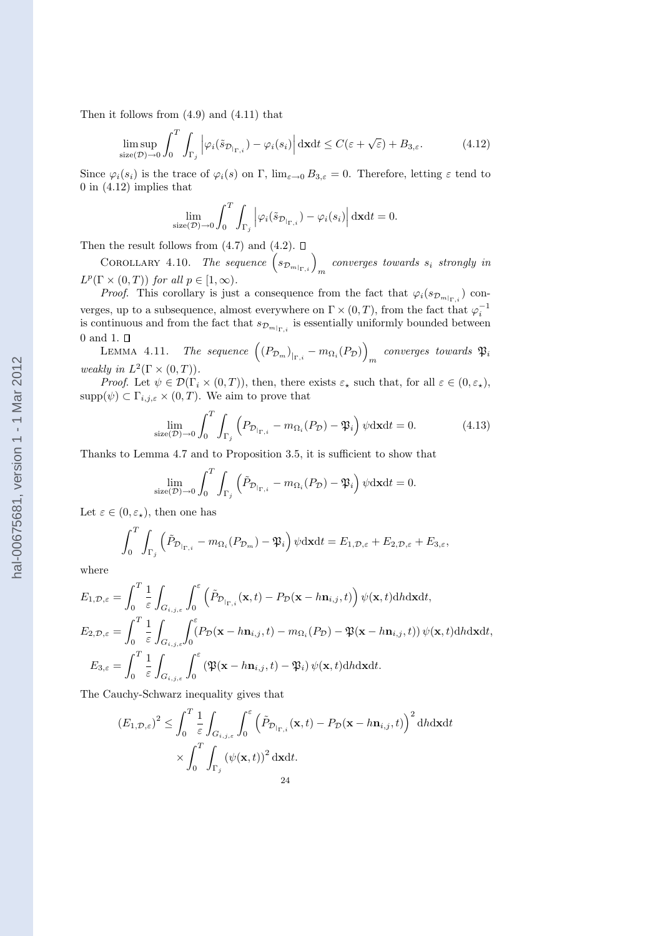Then it follows from (4.9) and (4.11) that

$$
\limsup_{\text{size}(\mathcal{D}) \to 0} \int_0^T \int_{\Gamma_j} \left| \varphi_i(\tilde{s}_{\mathcal{D}_{|\Gamma,i}}) - \varphi_i(s_i) \right| d\mathbf{x} dt \le C(\varepsilon + \sqrt{\varepsilon}) + B_{3,\varepsilon}.
$$
 (4.12)

Since  $\varphi_i(s_i)$  is the trace of  $\varphi_i(s)$  on  $\Gamma$ ,  $\lim_{\varepsilon\to 0} B_{3,\varepsilon} = 0$ . Therefore, letting  $\varepsilon$  tend to 0 in (4.12) implies that

$$
\lim_{\text{size}(\mathcal{D}) \to 0} \int_0^T \int_{\Gamma_j} \left| \varphi_i(\tilde{s}_{\mathcal{D}_{\mid_{\Gamma,i}}}) - \varphi_i(s_i) \right| d\mathbf{x} dt = 0.
$$

Then the result follows from  $(4.7)$  and  $(4.2)$ .  $\Box$ 

n the result follows from (4.*i*) and (4.2).  $\square$ <br>COROLLARY 4.10. *The sequence*  $(s_{\mathcal{D}_{m|_{\Gamma,i}}})_m$  converges towards  $s_i$  strongly in  $L^p(\Gamma \times (0,T))$  for all  $p \in [1,\infty)$ .

*Proof.* This corollary is just a consequence from the fact that  $\varphi_i(s_{\mathcal{D}_{m|_{\Gamma,i}}})$  converges, up to a subsequence, almost everywhere on  $\Gamma \times (0, T)$ , from the fact that  $\varphi_i^{-1}$  is continuous and from the fact that  $s_{\mathcal{D}_{m|\Gamma,i}}$  is essentially uniformly bounded between  $0$  and  $1.$   $\square$ ´

 $\texttt{LEMMA}$  4.11. The sequence  $\left(\left(P_{\mathcal{D}_m}\right)_{\vert_{\Gamma,i}}-m_{\Omega_i}(P_{\mathcal{D}})\right)$  $converges$  towards  $\mathfrak{P}_i$ weakly in  $L^2(\Gamma \times (0,T))$ .

*Proof.* Let  $\psi \in \mathcal{D}(\Gamma_i \times (0,T))$ , then, there exists  $\varepsilon_\star$  such that, for all  $\varepsilon \in (0,\varepsilon_\star)$ ,  $supp(\psi) \subset \Gamma_{i,j,\varepsilon} \times (0,T)$ . We aim to prove that

$$
\lim_{\text{size}(\mathcal{D}) \to 0} \int_0^T \int_{\Gamma_j} \left( P_{\mathcal{D}_{|\Gamma,i}} - m_{\Omega_i}(P_{\mathcal{D}}) - \mathfrak{P}_i \right) \psi \, \mathrm{d} \mathbf{x} \mathrm{d}t = 0. \tag{4.13}
$$

Thanks to Lemma 4.7 and to Proposition 3.5, it is sufficient to show that

$$
\lim_{\text{size}(\mathcal{D}) \to 0} \int_0^T \int_{\Gamma_j} \left( \tilde{P}_{\mathcal{D}_{|\Gamma,i}} - m_{\Omega_i}(P_{\mathcal{D}}) - \mathfrak{P}_i \right) \psi \, \mathrm{d} \mathbf{x} \mathrm{d} t = 0.
$$

Let  $\varepsilon \in (0, \varepsilon_{\star}),$  then one has

$$
\int_0^T \int_{\Gamma_j} \left( \tilde{P}_{\mathcal{D}_{|\Gamma,i}} - m_{\Omega_i}(P_{\mathcal{D}_m}) - \mathfrak{P}_i \right) \psi \mathrm{d} \mathbf{x} \mathrm{d} t = E_{1,\mathcal{D},\varepsilon} + E_{2,\mathcal{D},\varepsilon} + E_{3,\varepsilon},
$$

where

$$
E_{1,\mathcal{D},\varepsilon} = \int_0^T \frac{1}{\varepsilon} \int_{G_{i,j,\varepsilon}} \int_0^{\varepsilon} \left( \tilde{P}_{\mathcal{D}_{|\Gamma,i}}(\mathbf{x},t) - P_{\mathcal{D}}(\mathbf{x} - h\mathbf{n}_{i,j},t) \right) \psi(\mathbf{x},t) \mathrm{d}h \mathrm{d}\mathbf{x} \mathrm{d}t,
$$
  
\n
$$
E_{2,\mathcal{D},\varepsilon} = \int_0^T \frac{1}{\varepsilon} \int_{G_{i,j,\varepsilon}} \int_0^{\varepsilon} (P_{\mathcal{D}}(\mathbf{x} - h\mathbf{n}_{i,j},t) - m_{\Omega_i}(P_{\mathcal{D}}) - \mathfrak{P}(\mathbf{x} - h\mathbf{n}_{i,j},t)) \psi(\mathbf{x},t) \mathrm{d}h \mathrm{d}\mathbf{x} \mathrm{d}t,
$$
  
\n
$$
E_{3,\varepsilon} = \int_0^T \frac{1}{\varepsilon} \int_{G_{i,j,\varepsilon}} \int_0^{\varepsilon} (\mathfrak{P}(\mathbf{x} - h\mathbf{n}_{i,j},t) - \mathfrak{P}_i) \psi(\mathbf{x},t) \mathrm{d}h \mathrm{d}\mathbf{x} \mathrm{d}t.
$$

The Cauchy-Schwarz inequality gives that

$$
(E_{1,\mathcal{D},\varepsilon})^2 \leq \int_0^T \frac{1}{\varepsilon} \int_{G_{i,j,\varepsilon}} \int_0^{\varepsilon} \left( \tilde{P}_{\mathcal{D}_{|\Gamma,i}}(\mathbf{x},t) - P_{\mathcal{D}}(\mathbf{x}-h\mathbf{n}_{i,j},t) \right)^2 \mathrm{d}h \mathrm{d}\mathbf{x} \mathrm{d}t
$$

$$
\times \int_0^T \int_{\Gamma_j} \left( \psi(\mathbf{x},t) \right)^2 \mathrm{d}\mathbf{x} \mathrm{d}t.
$$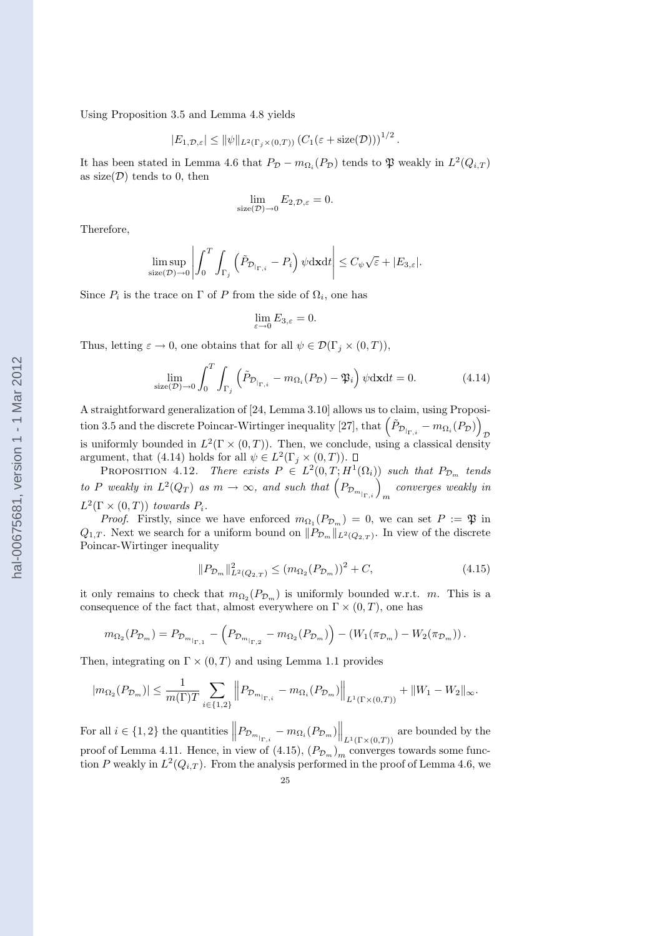Using Proposition 3.5 and Lemma 4.8 yields

$$
|E_{1,\mathcal{D},\varepsilon}| \leq ||\psi||_{L^2(\Gamma_j \times (0,T))} (C_1(\varepsilon + \text{size}(\mathcal{D})))^{1/2}
$$

.

It has been stated in Lemma 4.6 that  $P_{\mathcal{D}} - m_{\Omega_i}(P_{\mathcal{D}})$  tends to  $\mathfrak{P}$  weakly in  $L^2(Q_{i,T})$ as size( $\mathcal{D}$ ) tends to 0, then

$$
\lim_{\text{size}(\mathcal{D}) \to 0} E_{2,\mathcal{D},\varepsilon} = 0.
$$

Therefore,

$$
\limsup_{\text{size}(\mathcal{D}) \to 0} \left| \int_0^T \int_{\Gamma_j} \left( \tilde{P}_{\mathcal{D}_{|\Gamma,i}} - P_i \right) \psi \, \mathrm{d} \mathbf{x} \mathrm{d} t \right| \leq C_{\psi} \sqrt{\varepsilon} + |E_{3,\varepsilon}|.
$$

Since  $P_i$  is the trace on  $\Gamma$  of P from the side of  $\Omega_i$ , one has

$$
\lim_{\varepsilon\to 0}E_{3,\varepsilon}=0.
$$

Thus, letting  $\varepsilon \to 0$ , one obtains that for all  $\psi \in \mathcal{D}(\Gamma_i \times (0,T)),$ 

$$
\lim_{\text{size}(\mathcal{D}) \to 0} \int_0^T \int_{\Gamma_j} \left( \tilde{P}_{\mathcal{D}_{|\Gamma,i}} - m_{\Omega_i}(P_{\mathcal{D}}) - \mathfrak{P}_i \right) \psi \, \mathrm{d} \mathbf{x} \mathrm{d}t = 0. \tag{4.14}
$$

A straightforward generalization of [24, Lemma 3.10] allows us to claim, using Proposi-A straightforward generalization of [24, Lemma 3.10] allows us to claim, using Proposition 3.5 and the discrete Poincar-Wirtinger inequality [27], that  $\left(\tilde{P}_{\mathcal{D}_{|\Gamma,i}}-m_{\Omega_i}(P_{\mathcal{D}})\right)_{\mathcal{D}}$ is uniformly bounded in  $L^2(\Gamma \times (0,T))$ . Then, we conclude, using a classical density argument, that (4.14) holds for all  $\psi \in L^2(\Gamma_j \times (0,T)).$ 

PROPOSITION 4.12. There exists  $P \in L^2(0,T;H^1(\Omega_i))$  such that  $P_{\mathcal{D}_m}$  tends PROPOSITION 4.12. There exists  $P \in L^2(0, I; H^1(\Omega_i))$  such that  $P_{\mathcal{D}_m}$  tends<br>to P weakly in  $L^2(Q_T)$  as  $m \to \infty$ , and such that  $\left(P_{\mathcal{D}_{m_{\vert \Gamma,i}}}\right)_m$  converges weakly in  $L^2(\Gamma \times (0,T))$  towards  $P_i$ .

*Proof.* Firstly, since we have enforced  $m_{\Omega_1}(P_{\mathcal{D}_m}) = 0$ , we can set  $P := \mathfrak{P}$  in  $Q_{1,T}$ . Next we search for a uniform bound on  $||P_{\mathcal{D}_m}||_{L^2(Q_{2,T})}$ . In view of the discrete Poincar-Wirtinger inequality

$$
||P_{\mathcal{D}_m}||_{L^2(Q_{2,T})}^2 \le (m_{\Omega_2}(P_{\mathcal{D}_m}))^2 + C,
$$
\n(4.15)

it only remains to check that  $m_{\Omega_2}(P_{\mathcal{D}_m})$  is uniformly bounded w.r.t. m. This is a consequence of the fact that, almost everywhere on  $\Gamma \times (0,T)$ , one has

$$
m_{\Omega_2}(P_{\mathcal{D}_m}) = P_{\mathcal{D}_{m|_{\Gamma,1}}} - (P_{\mathcal{D}_{m|_{\Gamma,2}}} - m_{\Omega_2}(P_{\mathcal{D}_m}) - (W_1(\pi_{\mathcal{D}_m}) - W_2(\pi_{\mathcal{D}_m})).
$$

Then, integrating on  $\Gamma \times (0,T)$  and using Lemma 1.1 provides

$$
|m_{\Omega_2}(P_{\mathcal{D}_m})| \leq \frac{1}{m(\Gamma)T} \sum_{i \in \{1,2\}} \left\| P_{\mathcal{D}_{m_{|\Gamma,i}}}-m_{\Omega_i}(P_{\mathcal{D}_m}) \right\|_{L^1(\Gamma \times (0,T))} + \|W_1-W_2\|_{\infty}.
$$

For all  $i \in \{1,2\}$  the quantities  $\left\| P_{\mathcal{D}_{m} \big|_{\Gamma,i}} - m_{\Omega_i} (P_{\mathcal{D}_m}) \right\|$  $\Big\|_{L^1(\Gamma \times (0,T))}$  are bounded by the proof of Lemma 4.11. Hence, in view of (4.15),  $(P_{\mathcal{D}_m})_m$  converges towards some function P weakly in  $L^2(Q_{i,T})$ . From the analysis performed in the proof of Lemma 4.6, we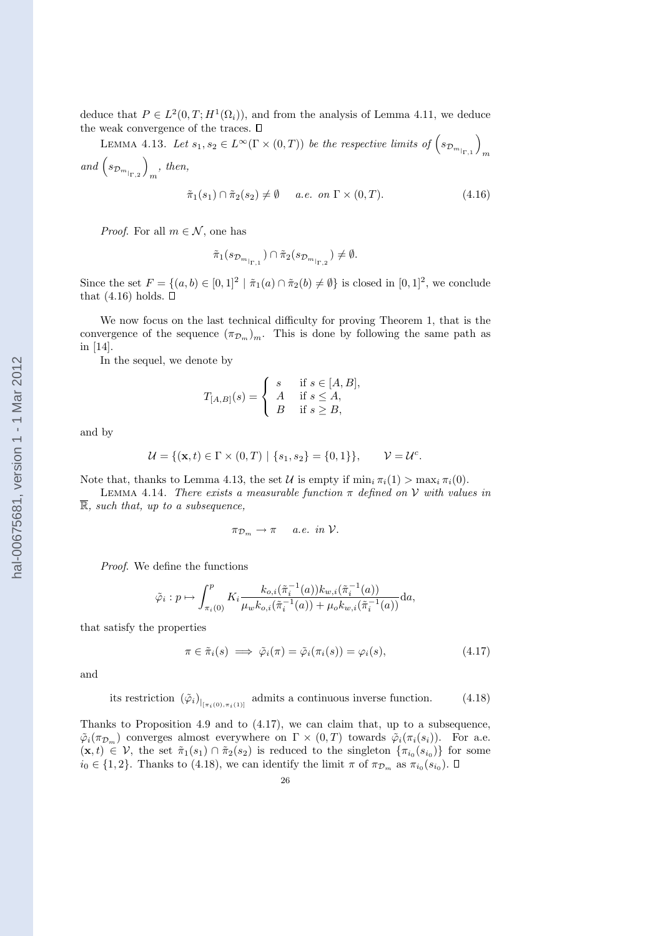deduce that  $P \in L^2(0,T; H^1(\Omega_i))$ , and from the analysis of Lemma 4.11, we deduce the weak convergence of the traces.  $\square$ ´

weak convergence of the traces.  $\square$ <br>LEMMA 4.13. Let  $s_1, s_2 \in L^\infty(\Gamma \times (0,T))$  be the respective limits of  $\left(s_{\mathcal{D}_{m}}\right)_{\Gamma,1}$  $\left( \begin{array}{cc} \mathbf{m} & \mathbf{m} \\ \mathbf{m} & \mathbf{m} \end{array} \right)$ and  $(s_{\mathcal{D}_{m}}_{\vert_{\Gamma,2}})_{m}$ , then,

$$
\tilde{\pi}_1(s_1) \cap \tilde{\pi}_2(s_2) \neq \emptyset \quad a.e. \ on \ \Gamma \times (0, T). \tag{4.16}
$$

*Proof.* For all  $m \in \mathcal{N}$ , one has

$$
\tilde{\pi}_1(s_{\mathcal{D}_{m_{\vert_{\Gamma,1}}}})\cap\tilde{\pi}_2(s_{\mathcal{D}_{m_{\vert_{\Gamma,2}}}})\neq\emptyset.
$$

Since the set  $F = \{(a, b) \in [0, 1]^2 \mid \tilde{\pi}_1(a) \cap \tilde{\pi}_2(b) \neq \emptyset\}$  is closed in  $[0, 1]^2$ , we conclude that  $(4.16)$  holds.  $\Box$ 

We now focus on the last technical difficulty for proving Theorem 1, that is the convergence of the sequence  $(\pi_{\mathcal{D}_m})_m$ . This is done by following the same path as in [14].

In the sequel, we denote by

$$
T_{[A,B]}(s) = \begin{cases} s & \text{if } s \in [A,B], \\ A & \text{if } s \le A, \\ B & \text{if } s \ge B, \end{cases}
$$

and by

$$
\mathcal{U} = \{ (\mathbf{x}, t) \in \Gamma \times (0, T) \mid \{ s_1, s_2 \} = \{ 0, 1 \} \}, \qquad \mathcal{V} = \mathcal{U}^c.
$$

Note that, thanks to Lemma 4.13, the set U is empty if  $\min_i \pi_i(1) > \max_i \pi_i(0)$ .

LEMMA 4.14. There exists a measurable function  $\pi$  defined on V with values in  $\overline{\mathbb{R}}$ , such that, up to a subsequence.

$$
\pi_{\mathcal{D}_m} \to \pi \quad a.e. \in \mathcal{D}.
$$

Proof. We define the functions

$$
\tilde{\varphi}_i : p \mapsto \int_{\pi_i(0)}^p K_i \frac{k_{o,i}(\tilde{\pi}_i^{-1}(a))k_{w,i}(\tilde{\pi}_i^{-1}(a))}{\mu_w k_{o,i}(\tilde{\pi}_i^{-1}(a)) + \mu_o k_{w,i}(\tilde{\pi}_i^{-1}(a))} da,
$$

that satisfy the properties

$$
\pi \in \tilde{\pi}_i(s) \implies \tilde{\varphi}_i(\pi) = \tilde{\varphi}_i(\pi_i(s)) = \varphi_i(s), \tag{4.17}
$$

and

its restriction 
$$
(\tilde{\varphi}_i)_{|_{[\pi_i(0), \pi_i(1)]}}
$$
 admits a continuous inverse function. (4.18)

Thanks to Proposition 4.9 and to (4.17), we can claim that, up to a subsequence,  $\tilde{\varphi}_i(\pi_{\mathcal{D}_m})$  converges almost everywhere on  $\Gamma \times (0,T)$  towards  $\tilde{\varphi}_i(\pi_i(s_i))$ . For a.e.  $(\mathbf{x},t) \in \mathcal{V}$ , the set  $\tilde{\pi}_1(s_1) \cap \tilde{\pi}_2(s_2)$  is reduced to the singleton  $\{\pi_{i_0}(s_{i_0})\}$  for some  $i_0 \in \{1, 2\}$ . Thanks to (4.18), we can identify the limit  $\pi$  of  $\pi_{\mathcal{D}_m}$  as  $\pi_{i_0}(s_{i_0})$ .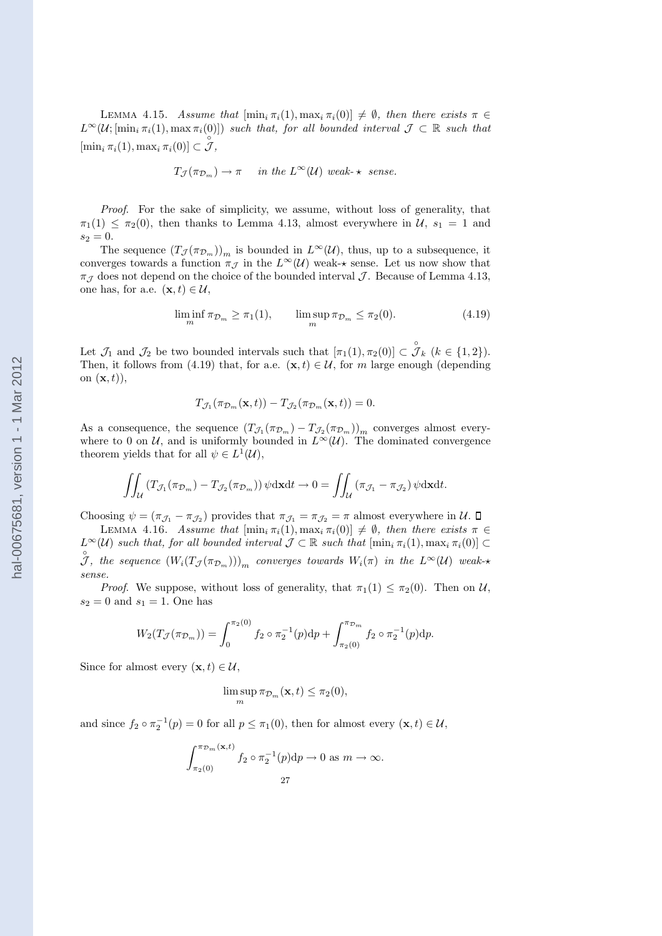LEMMA 4.15. Assume that  $[\min_i \pi_i(1), \max_i \pi_i(0)] \neq \emptyset$ , then there exists  $\pi \in$  $L^{\infty}(\mathcal{U};[\min_i \pi_i(1), \max \pi_i(0)])$  such that, for all bounded interval  $\mathcal{J} \subset \mathbb{R}$  such that  $[\min_i \pi_i(1), \max_i \pi_i(0)] \subset \mathcal{J},$ 

$$
T_{\mathcal{J}}(\pi_{\mathcal{D}_m}) \to \pi
$$
 in the  $L^{\infty}(\mathcal{U})$  weak- $\star$  sense.

Proof. For the sake of simplicity, we assume, without loss of generality, that  $\pi_1(1) \leq \pi_2(0)$ , then thanks to Lemma 4.13, almost everywhere in  $\mathcal{U}, s_1 = 1$  and  $s_2 = 0.$ 

The sequence  $(T_{\mathcal{J}}(\pi_{\mathcal{D}_m}))_m$  is bounded in  $L^{\infty}(\mathcal{U})$ , thus, up to a subsequence, it converges towards a function  $\pi_{\mathcal{J}}$  in the  $L^{\infty}(\mathcal{U})$  weak- $\star$  sense. Let us now show that  $\pi_{\mathcal{I}}$  does not depend on the choice of the bounded interval  $\mathcal{I}$ . Because of Lemma 4.13, one has, for a.e.  $(\mathbf{x}, t) \in \mathcal{U}$ ,

$$
\liminf_{m} \pi_{\mathcal{D}_m} \ge \pi_1(1), \qquad \limsup_{m} \pi_{\mathcal{D}_m} \le \pi_2(0). \tag{4.19}
$$

Let  $\mathcal{J}_1$  and  $\mathcal{J}_2$  be two bounded intervals such that  $[\pi_1(1), \pi_2(0)] \subset \mathcal{J}_k$   $(k \in \{1, 2\})$ . Then, it follows from (4.19) that, for a.e.  $(\mathbf{x}, t) \in \mathcal{U}$ , for m large enough (depending on  $(\mathbf{x}, t)$ ,

$$
T_{\mathcal{J}_1}(\pi_{\mathcal{D}_m}(\mathbf{x},t)) - T_{\mathcal{J}_2}(\pi_{\mathcal{D}_m}(\mathbf{x},t)) = 0.
$$

As a consequence, the sequence  $(T_{\mathcal{J}_1}(\pi_{\mathcal{D}_m}) - T_{\mathcal{J}_2}(\pi_{\mathcal{D}_m}))_m$  converges almost everywhere to 0 on U, and is uniformly bounded in  $L^{\infty}(\mathcal{U})$ . The dominated convergence theorem yields that for all  $\psi \in L^1(\mathcal{U}),$ 

$$
\iint_{\mathcal{U}} \left( T_{\mathcal{J}_1}(\pi_{\mathcal{D}_m}) - T_{\mathcal{J}_2}(\pi_{\mathcal{D}_m}) \right) \psi \, \mathrm{d} \mathbf{x} \mathrm{d} t \to 0 = \iint_{\mathcal{U}} \left( \pi_{\mathcal{J}_1} - \pi_{\mathcal{J}_2} \right) \psi \, \mathrm{d} \mathbf{x} \mathrm{d} t.
$$

Choosing  $\psi = (\pi_{\mathcal{J}_1} - \pi_{\mathcal{J}_2})$  provides that  $\pi_{\mathcal{J}_1} = \pi_{\mathcal{J}_2} = \pi$  almost everywhere in  $\mathcal{U}$ .

LEMMA 4.16. Assume that  $[\min_i \pi_i(1), \max_i \pi_i(0)] \neq \emptyset$ , then there exists  $\pi \in$  $L^{\infty}(\mathcal{U})$  such that, for all bounded interval  $\mathcal{J} \subset \mathbb{R}$  such that  $[\min_i \pi_i(1), \max_i \pi_i(0)] \subset$  $\mathcal{J},$  the sequence  $(W_i(T_{\mathcal{J}}(\pi_{\mathcal{D}_m})))_m$  converges towards  $W_i(\pi)$  in the  $L^{\infty}(\mathcal{U})$  weaksense.

*Proof.* We suppose, without loss of generality, that  $\pi_1(1) \leq \pi_2(0)$ . Then on U,  $s_2 = 0$  and  $s_1 = 1$ . One has

$$
W_2(T_{\mathcal{J}}(\pi_{\mathcal{D}_m})) = \int_0^{\pi_2(0)} f_2 \circ \pi_2^{-1}(p) dp + \int_{\pi_2(0)}^{\pi_{\mathcal{D}_m}} f_2 \circ \pi_2^{-1}(p) dp.
$$

Since for almost every  $(\mathbf{x}, t) \in \mathcal{U}$ ,

$$
\limsup_{m} \pi_{\mathcal{D}_m}(\mathbf{x},t) \leq \pi_2(0),
$$

and since  $f_2 \circ \pi_2^{-1}(p) = 0$  for all  $p \le \pi_1(0)$ , then for almost every  $(\mathbf{x}, t) \in \mathcal{U}$ ,

$$
\int_{\pi_2(0)}^{\pi_{\mathcal{D}_m}(\mathbf{x},t)} f_2 \circ \pi_2^{-1}(p) dp \to 0 \text{ as } m \to \infty.
$$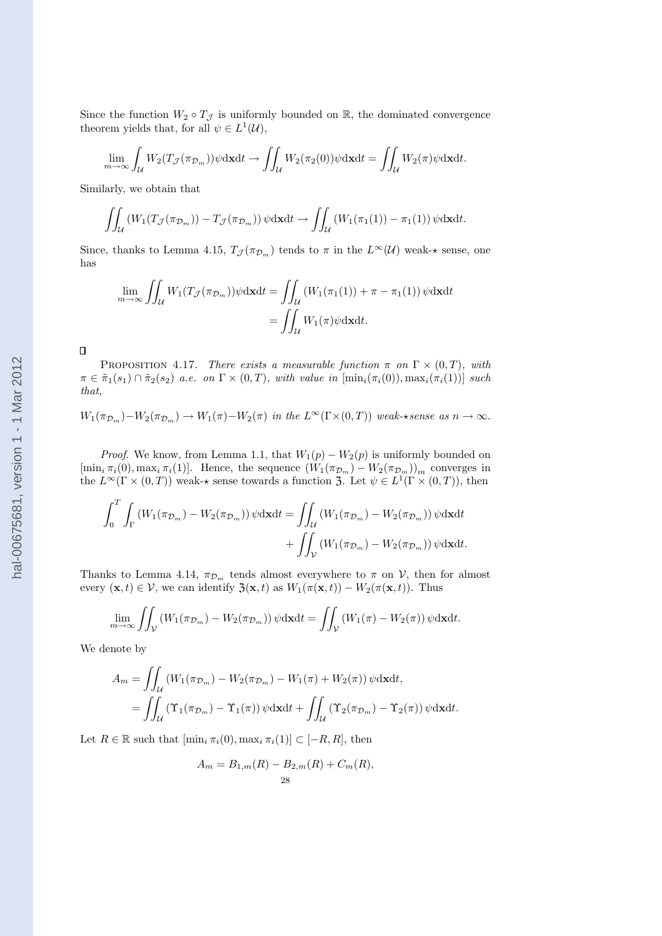Since the function  $W_2 \circ T_{\mathcal{J}}$  is uniformly bounded on R, the dominated convergence theorem yields that, for all  $\psi \in L^1(\mathcal{U}),$ 

$$
\lim_{m \to \infty} \int_{\mathcal{U}} W_2(T_{\mathcal{J}}(\pi_{\mathcal{D}_m})) \psi \, \mathrm{d} \mathbf{x} \mathrm{d} t \to \iint_{\mathcal{U}} W_2(\pi_2(0)) \psi \, \mathrm{d} \mathbf{x} \mathrm{d} t = \iint_{\mathcal{U}} W_2(\pi) \psi \, \mathrm{d} \mathbf{x} \mathrm{d} t.
$$

Similarly, we obtain that

$$
\iint_{\mathcal{U}} \left( W_1(T_{\mathcal{J}}(\pi_{\mathcal{D}_m})) - T_{\mathcal{J}}(\pi_{\mathcal{D}_m}) \right) \psi \, \mathrm{d} \mathbf{x} \mathrm{d} t \to \iint_{\mathcal{U}} \left( W_1(\pi_1(1)) - \pi_1(1) \right) \psi \, \mathrm{d} \mathbf{x} \mathrm{d} t.
$$

Since, thanks to Lemma 4.15,  $T_{\mathcal{J}}(\pi_{\mathcal{D}_m})$  tends to  $\pi$  in the  $L^{\infty}(\mathcal{U})$  weak- $\star$  sense, one has

$$
\lim_{m \to \infty} \iint_{\mathcal{U}} W_1(T_{\mathcal{J}}(\pi_{\mathcal{D}_m})) \psi \, \mathrm{d} \mathbf{x} \mathrm{d} t = \iint_{\mathcal{U}} (W_1(\pi_1(1)) + \pi - \pi_1(1)) \, \psi \, \mathrm{d} \mathbf{x} \mathrm{d} t
$$
\n
$$
= \iint_{\mathcal{U}} W_1(\pi) \psi \, \mathrm{d} \mathbf{x} \mathrm{d} t.
$$

 $\Box$ 

PROPOSITION 4.17. There exists a measurable function  $\pi$  on  $\Gamma \times (0,T)$ , with  $\pi \in \tilde{\pi}_1(s_1) \cap \tilde{\pi}_2(s_2)$  a.e. on  $\Gamma \times (0,T)$ , with value in  $[\min_i(\pi_i(0)), \max_i(\pi_i(1))]$  such that,

$$
W_1(\pi_{\mathcal{D}_m}) - W_2(\pi_{\mathcal{D}_m}) \to W_1(\pi) - W_2(\pi) \text{ in the } L^{\infty}(\Gamma \times (0,T)) \text{ weak-sense as } n \to \infty.
$$

*Proof.* We know, from Lemma 1.1, that  $W_1(p) - W_2(p)$  is uniformly bounded on  $[\min_i \pi_i(0), \max_i \pi_i(1)]$ . Hence, the sequence  $(W_1(\pi_{\mathcal{D}_m}) - W_2(\pi_{\mathcal{D}_m}))_m$  converges in the  $L^{\infty}(\Gamma \times (0,T))$  weak- $\star$  sense towards a function 3. Let  $\psi \in L^{1}(\Gamma \times (0,T))$ , then

$$
\int_0^T \int_{\Gamma} \left( W_1(\pi_{\mathcal{D}_m}) - W_2(\pi_{\mathcal{D}_m}) \right) \psi \, \mathrm{d} \mathbf{x} \mathrm{d}t = \iint_{\mathcal{U}} \left( W_1(\pi_{\mathcal{D}_m}) - W_2(\pi_{\mathcal{D}_m}) \right) \psi \, \mathrm{d} \mathbf{x} \mathrm{d}t + \iint_{\mathcal{V}} \left( W_1(\pi_{\mathcal{D}_m}) - W_2(\pi_{\mathcal{D}_m}) \right) \psi \, \mathrm{d} \mathbf{x} \mathrm{d}t.
$$

Thanks to Lemma 4.14,  $\pi_{\mathcal{D}_m}$  tends almost everywhere to  $\pi$  on  $\mathcal{V}$ , then for almost every  $(\mathbf{x}, t) \in \mathcal{V}$ , we can identify  $\mathfrak{Z}(\mathbf{x}, t)$  as  $W_1(\pi(\mathbf{x}, t)) - W_2(\pi(\mathbf{x}, t))$ . Thus

$$
\lim_{m \to \infty} \iint_{\mathcal{V}} \left( W_1(\pi_{\mathcal{D}_m}) - W_2(\pi_{\mathcal{D}_m}) \right) \psi \, \mathrm{d} \mathbf{x} \mathrm{d} t = \iint_{\mathcal{V}} \left( W_1(\pi) - W_2(\pi) \right) \psi \, \mathrm{d} \mathbf{x} \mathrm{d} t.
$$

We denote by

$$
A_m = \iint_{\mathcal{U}} (W_1(\pi_{\mathcal{D}_m}) - W_2(\pi_{\mathcal{D}_m}) - W_1(\pi) + W_2(\pi)) \psi \, dx \, dt,
$$
  
= 
$$
\iint_{\mathcal{U}} (\Upsilon_1(\pi_{\mathcal{D}_m}) - \Upsilon_1(\pi)) \psi \, dx \, dt + \iint_{\mathcal{U}} (\Upsilon_2(\pi_{\mathcal{D}_m}) - \Upsilon_2(\pi)) \psi \, dx \, dt.
$$

Let  $R \in \mathbb{R}$  such that  $[\min_i \pi_i(0), \max_i \pi_i(1)] \subset [-R, R]$ , then

$$
A_m = B_{1,m}(R) - B_{2,m}(R) + C_m(R),
$$
  
28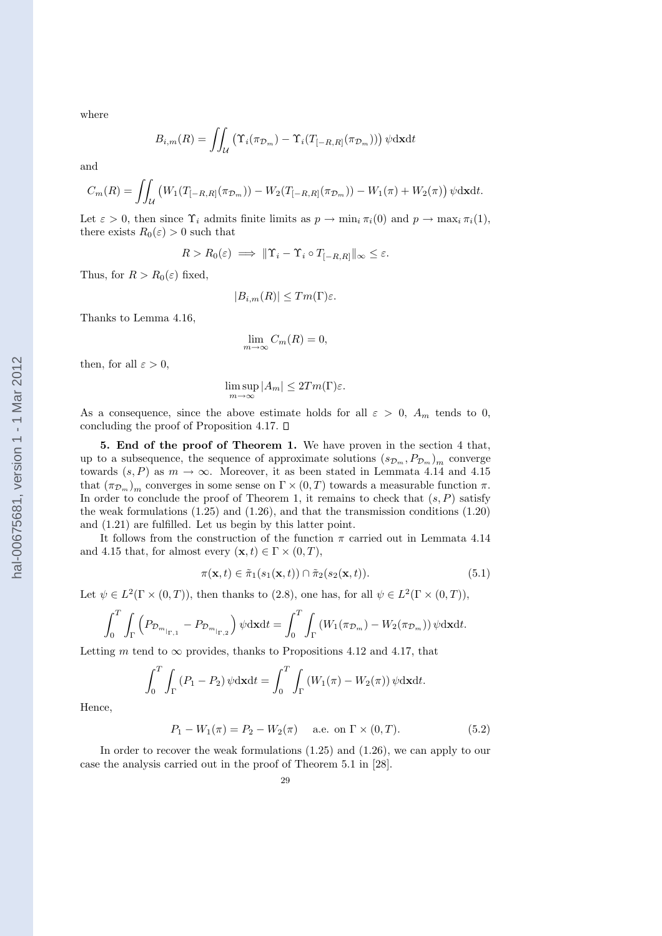where

$$
B_{i,m}(R) = \iint_{\mathcal{U}} \left( \Upsilon_i(\pi_{\mathcal{D}_m}) - \Upsilon_i(T_{[-R,R]}(\pi_{\mathcal{D}_m})) \right) \psi \, \mathrm{d} \mathbf{x} \mathrm{d} t
$$

and

$$
C_m(R) = \iint_{\mathcal{U}} \left( W_1(T_{[-R,R]}(\pi_{\mathcal{D}_m})) - W_2(T_{[-R,R]}(\pi_{\mathcal{D}_m})) - W_1(\pi) + W_2(\pi) \right) \psi \, \mathrm{d}x \mathrm{d}t.
$$

Let  $\varepsilon > 0$ , then since  $\Upsilon_i$  admits finite limits as  $p \to \min_i \pi_i(0)$  and  $p \to \max_i \pi_i(1)$ , there exists  $R_0(\varepsilon) > 0$  such that

$$
R > R_0(\varepsilon) \implies ||\Upsilon_i - \Upsilon_i \circ T_{[-R,R]}||_{\infty} \le \varepsilon.
$$

Thus, for  $R > R_0(\varepsilon)$  fixed,

$$
|B_{i,m}(R)| \leq Tm(\Gamma)\varepsilon.
$$

Thanks to Lemma 4.16,

$$
\lim_{m \to \infty} C_m(R) = 0,
$$

then, for all  $\varepsilon > 0$ ,

$$
\limsup_{m \to \infty} |A_m| \le 2Tm(\Gamma)\varepsilon.
$$

As a consequence, since the above estimate holds for all  $\varepsilon > 0$ ,  $A_m$  tends to 0, concluding the proof of Proposition 4.17.  $\square$ 

5. End of the proof of Theorem 1. We have proven in the section 4 that, up to a subsequence, the sequence of approximate solutions  $(s_{\mathcal{D}_m}, P_{\mathcal{D}_m})_m$  converge towards  $(s, P)$  as  $m \to \infty$ . Moreover, it as been stated in Lemmata 4.14 and 4.15 that  $(\pi_{\mathcal{D}_m})_m$  converges in some sense on  $\Gamma \times (0,T)$  towards a measurable function  $\pi$ . In order to conclude the proof of Theorem 1, it remains to check that  $(s, P)$  satisfy the weak formulations  $(1.25)$  and  $(1.26)$ , and that the transmission conditions  $(1.20)$ and (1.21) are fulfilled. Let us begin by this latter point.

It follows from the construction of the function  $\pi$  carried out in Lemmata 4.14 and 4.15 that, for almost every  $(\mathbf{x}, t) \in \Gamma \times (0, T)$ ,

$$
\pi(\mathbf{x},t) \in \tilde{\pi}_1(s_1(\mathbf{x},t)) \cap \tilde{\pi}_2(s_2(\mathbf{x},t)).
$$
\n(5.1)

Let  $\psi \in L^2(\Gamma \times (0,T))$ , then thanks to (2.8), one has, for all  $\psi \in L^2(\Gamma \times (0,T))$ ,

$$
\int_0^T \int_{\Gamma} \left( P_{\mathcal{D}_{m|_{\Gamma,1}}} - P_{\mathcal{D}_{m|_{\Gamma,2}}} \right) \psi \mathrm{d} \mathbf{x} \mathrm{d} t = \int_0^T \int_{\Gamma} \left( W_1(\pi_{\mathcal{D}_m}) - W_2(\pi_{\mathcal{D}_m}) \right) \psi \mathrm{d} \mathbf{x} \mathrm{d} t.
$$

Letting m tend to  $\infty$  provides, thanks to Propositions 4.12 and 4.17, that

$$
\int_0^T \int_{\Gamma} (P_1 - P_2) \psi \, \mathrm{d}x \mathrm{d}t = \int_0^T \int_{\Gamma} (W_1(\pi) - W_2(\pi)) \psi \, \mathrm{d}x \mathrm{d}t.
$$

Hence,

$$
P_1 - W_1(\pi) = P_2 - W_2(\pi)
$$
 a.e. on  $\Gamma \times (0, T)$ . (5.2)

In order to recover the weak formulations (1.25) and (1.26), we can apply to our case the analysis carried out in the proof of Theorem 5.1 in [28].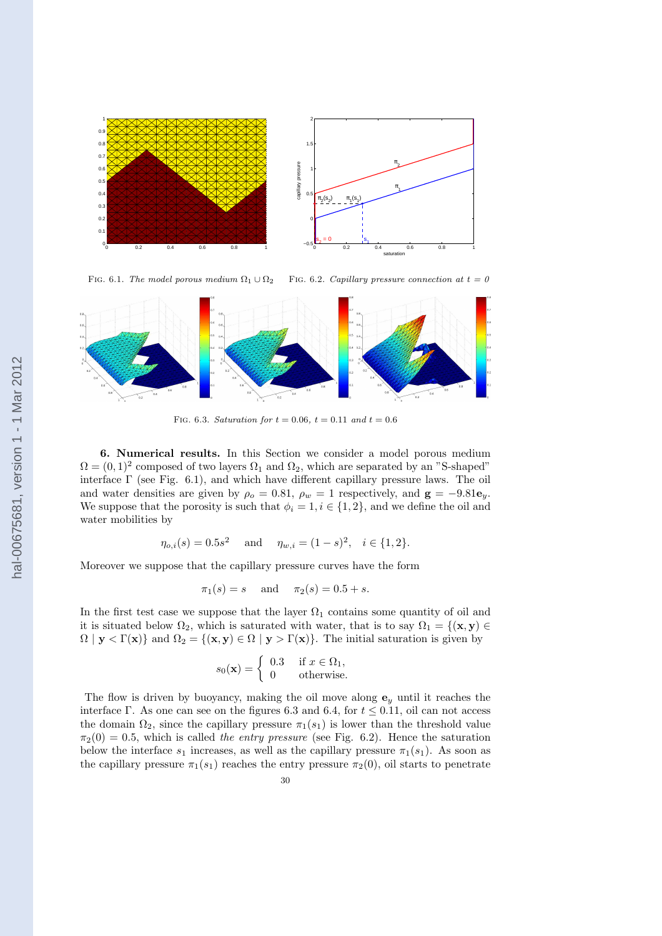

FIG. 6.1. The model porous medium  $\Omega_1 \cup \Omega_2$ FIG. 6.2. Capillary pressure connection at  $t = 0$ 



FIG. 6.3. Saturation for  $t = 0.06$ ,  $t = 0.11$  and  $t = 0.6$ 

6. Numerical results. In this Section we consider a model porous medium  $\Omega = (0, 1)^2$  composed of two layers  $\Omega_1$  and  $\Omega_2$ , which are separated by an "S-shaped" interface  $\Gamma$  (see Fig. 6.1), and which have different capillary pressure laws. The oil and water densities are given by  $\rho_o = 0.81$ ,  $\rho_w = 1$  respectively, and  $\mathbf{g} = -9.81\mathbf{e}_y$ . We suppose that the porosity is such that  $\phi_i = 1, i \in \{1, 2\}$ , and we define the oil and water mobilities by

$$
\eta_{o,i}(s) = 0.5s^2
$$
 and  $\eta_{w,i} = (1-s)^2, i \in \{1,2\}.$ 

Moreover we suppose that the capillary pressure curves have the form

$$
\pi_1(s) = s
$$
 and  $\pi_2(s) = 0.5 + s$ .

In the first test case we suppose that the layer  $\Omega_1$  contains some quantity of oil and it is situated below  $\Omega_2$ , which is saturated with water, that is to say  $\Omega_1 = \{(\mathbf{x}, \mathbf{y}) \in$  $\Omega | y < \Gamma(x)$  and  $\Omega_2 = \{ (x, y) \in \Omega | y > \Gamma(x) \}.$  The initial saturation is given by

$$
s_0(\mathbf{x}) = \begin{cases} 0.3 & \text{if } x \in \Omega_1, \\ 0 & \text{otherwise.} \end{cases}
$$

The flow is driven by buoyancy, making the oil move along  $e_y$  until it reaches the interface Γ. As one can see on the figures 6.3 and 6.4, for  $t \leq 0.11$ , oil can not access the domain  $\Omega_2$ , since the capillary pressure  $\pi_1(s_1)$  is lower than the threshold value  $\pi_2(0) = 0.5$ , which is called the entry pressure (see Fig. 6.2). Hence the saturation below the interface  $s_1$  increases, as well as the capillary pressure  $\pi_1(s_1)$ . As soon as the capillary pressure  $\pi_1(s_1)$  reaches the entry pressure  $\pi_2(0)$ , oil starts to penetrate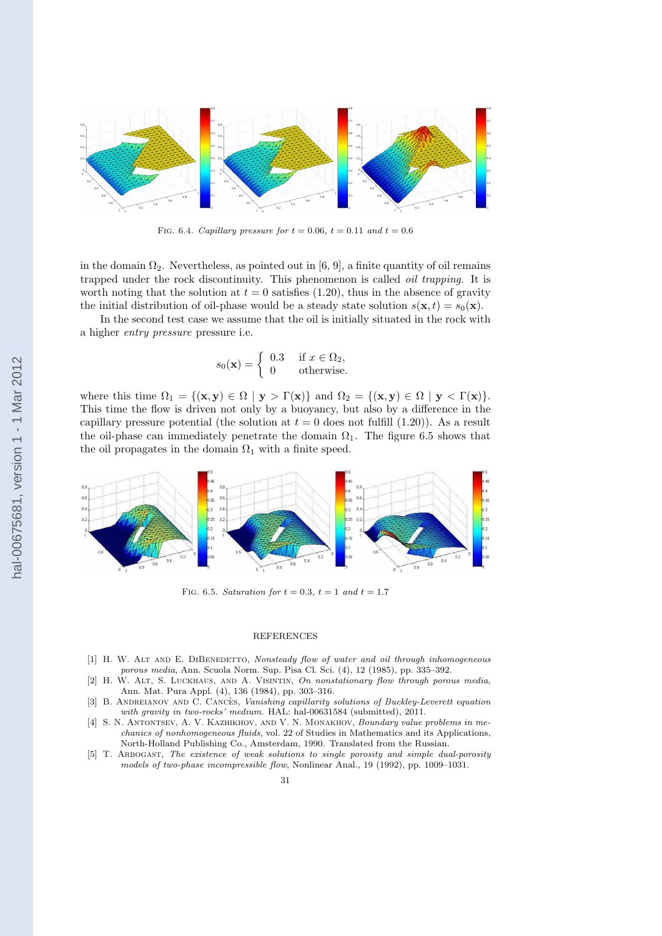

FIG. 6.4. Capillary pressure for  $t = 0.06$ ,  $t = 0.11$  and  $t = 0.6$ 

in the domain  $\Omega_2$ . Nevertheless, as pointed out in [6, 9], a finite quantity of oil remains trapped under the rock discontinuity. This phenomenon is called oil trapping. It is worth noting that the solution at  $t = 0$  satisfies (1.20), thus in the absence of gravity the initial distribution of oil-phase would be a steady state solution  $s(\mathbf{x}, t) = s_0(\mathbf{x})$ .

In the second test case we assume that the oil is initially situated in the rock with a higher *entry pressure* pressure i.e.

$$
s_0(\mathbf{x}) = \begin{cases} 0.3 & \text{if } x \in \Omega_2, \\ 0 & \text{otherwise.} \end{cases}
$$

where this time  $\Omega_1 = \{(\mathbf{x}, \mathbf{y}) \in \Omega \mid \mathbf{y} > \Gamma(\mathbf{x})\}\$ and  $\Omega_2 = \{(\mathbf{x}, \mathbf{y}) \in \Omega \mid \mathbf{y} < \Gamma(\mathbf{x})\}.$ This time the flow is driven not only by a buoyancy, but also by a difference in the capillary pressure potential (the solution at  $t = 0$  does not fulfill (1.20)). As a result the oil-phase can immediately penetrate the domain  $\Omega_1$ . The figure 6.5 shows that the oil propagates in the domain  $\Omega_1$  with a finite speed.



FIG. 6.5. Saturation for  $t = 0.3$ ,  $t = 1$  and  $t = 1.7$ 

#### REFERENCES

- [1] H. W. ALT AND E. DIBENEDETTO, Nonsteady flow of water and oil through inhomogeneous porous media, Ann. Scuola Norm. Sup. Pisa Cl. Sci. (4), 12 (1985), pp. 335–392.
- [2] H. W. Alt, S. Luckhaus, and A. Visintin, On nonstationary flow through porous media, Ann. Mat. Pura Appl. (4), 136 (1984), pp. 303–316.
- [3] B. ANDREIANOV AND C. CANCES, Vanishing capillarity solutions of Buckley-Leverett equation with gravity in two-rocks' medium. HAL: hal-00631584 (submitted), 2011.
- [4] S. N. ANTONTSEV, A. V. KAZHIKHOV, AND V. N. MONAKHOV, Boundary value problems in mechanics of nonhomogeneous fluids, vol. 22 of Studies in Mathematics and its Applications, North-Holland Publishing Co., Amsterdam, 1990. Translated from the Russian.
- [5] T. Arbogast, The existence of weak solutions to single porosity and simple dual-porosity models of two-phase incompressible flow, Nonlinear Anal., 19 (1992), pp. 1009–1031.

hal-00675681, version 1 - 1 Mar 2012 hal-00675681, version 1 - 1 Mar 2012